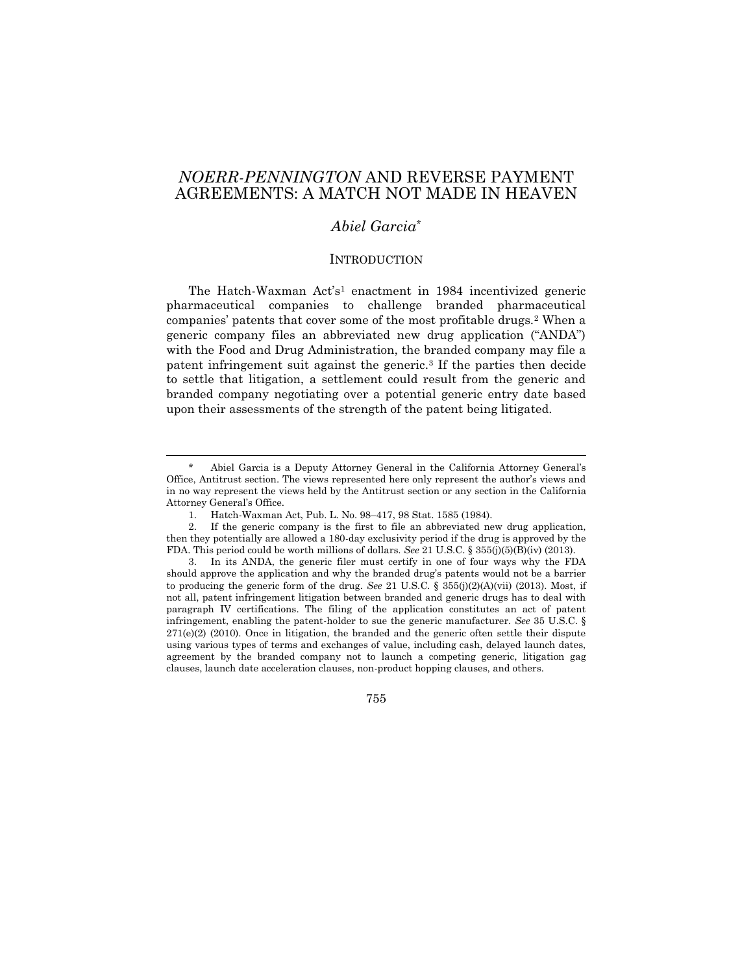# *NOERR-PENNINGTON* AND REVERSE PAYMENT AGREEMENTS: A MATCH NOT MADE IN HEAVEN

## *Abiel Garcia*\*

#### INTRODUCTION

The Hatch-Waxman Act's<sup>1</sup> enactment in 1984 incentivized generic pharmaceutical companies to challenge branded pharmaceutical companies' patents that cover some of the most profitable drugs.<sup>2</sup> When a generic company files an abbreviated new drug application ("ANDA") with the Food and Drug Administration, the branded company may file a patent infringement suit against the generic.<sup>3</sup> If the parties then decide to settle that litigation, a settlement could result from the generic and branded company negotiating over a potential generic entry date based upon their assessments of the strength of the patent being litigated.

Abiel Garcia is a Deputy Attorney General in the California Attorney General's Office, Antitrust section. The views represented here only represent the author's views and in no way represent the views held by the Antitrust section or any section in the California Attorney General's Office.

<sup>1.</sup> Hatch-Waxman Act, Pub. L. No. 98–417, 98 Stat. 1585 (1984).

<sup>2.</sup> If the generic company is the first to file an abbreviated new drug application, then they potentially are allowed a 180-day exclusivity period if the drug is approved by the FDA. This period could be worth millions of dollars. *See* 21 U.S.C. § 355(j)(5)(B)(iv) (2013).

<sup>3.</sup> In its ANDA, the generic filer must certify in one of four ways why the FDA should approve the application and why the branded drug's patents would not be a barrier to producing the generic form of the drug. *See* 21 U.S.C. § 355(j)(2)(A)(vii) (2013). Most, if not all, patent infringement litigation between branded and generic drugs has to deal with paragraph IV certifications. The filing of the application constitutes an act of patent infringement, enabling the patent-holder to sue the generic manufacturer. *See* 35 U.S.C. §  $271(e)(2)$  (2010). Once in litigation, the branded and the generic often settle their dispute using various types of terms and exchanges of value, including cash, delayed launch dates, agreement by the branded company not to launch a competing generic, litigation gag clauses, launch date acceleration clauses, non-product hopping clauses, and others.

<sup>755</sup>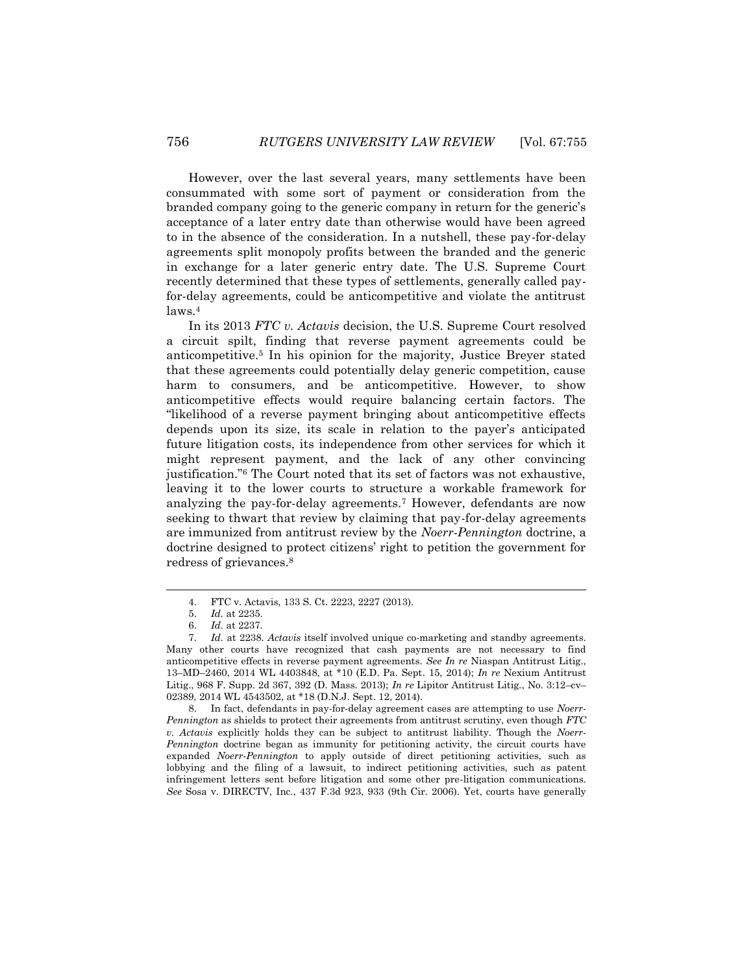However, over the last several years, many settlements have been consummated with some sort of payment or consideration from the branded company going to the generic company in return for the generic's acceptance of a later entry date than otherwise would have been agreed to in the absence of the consideration. In a nutshell, these pay-for-delay agreements split monopoly profits between the branded and the generic in exchange for a later generic entry date. The U.S. Supreme Court recently determined that these types of settlements, generally called payfor-delay agreements, could be anticompetitive and violate the antitrust laws.<sup>4</sup>

In its 2013 *FTC v. Actavis* decision, the U.S. Supreme Court resolved a circuit spilt, finding that reverse payment agreements could be anticompetitive.<sup>5</sup> In his opinion for the majority, Justice Breyer stated that these agreements could potentially delay generic competition, cause harm to consumers, and be anticompetitive. However, to show anticompetitive effects would require balancing certain factors. The "likelihood of a reverse payment bringing about anticompetitive effects depends upon its size, its scale in relation to the payer's anticipated future litigation costs, its independence from other services for which it might represent payment, and the lack of any other convincing justification."<sup>6</sup> The Court noted that its set of factors was not exhaustive, leaving it to the lower courts to structure a workable framework for analyzing the pay-for-delay agreements.<sup>7</sup> However, defendants are now seeking to thwart that review by claiming that pay-for-delay agreements are immunized from antitrust review by the *Noerr-Pennington* doctrine, a doctrine designed to protect citizens' right to petition the government for redress of grievances.<sup>8</sup>

 $\overline{a}$ 

8. In fact, defendants in pay-for-delay agreement cases are attempting to use *Noerr-Pennington* as shields to protect their agreements from antitrust scrutiny, even though *FTC v. Actavis* explicitly holds they can be subject to antitrust liability. Though the *Noerr-Pennington* doctrine began as immunity for petitioning activity, the circuit courts have expanded *Noerr-Pennington* to apply outside of direct petitioning activities, such as lobbying and the filing of a lawsuit, to indirect petitioning activities, such as patent infringement letters sent before litigation and some other pre-litigation communications. *See* Sosa v. DIRECTV, Inc., 437 F.3d 923, 933 (9th Cir. 2006). Yet, courts have generally

<sup>4.</sup> FTC v. Actavis, 133 S. Ct. 2223, 2227 (2013).

<sup>5.</sup> *Id.* at 2235.

<sup>6.</sup> *Id.* at 2237.

<sup>7.</sup> *Id.* at 2238. *Actavis* itself involved unique co-marketing and standby agreements. Many other courts have recognized that cash payments are not necessary to find anticompetitive effects in reverse payment agreements. *See In re* Niaspan Antitrust Litig., 13–MD–2460, 2014 WL 4403848, at \*10 (E.D. Pa. Sept. 15, 2014); *In re* Nexium Antitrust Litig., 968 F. Supp. 2d 367, 392 (D. Mass. 2013); *In re* Lipitor Antitrust Litig*.*, No. 3:12–cv– 02389, 2014 WL 4543502, at \*18 (D.N.J. Sept. 12, 2014).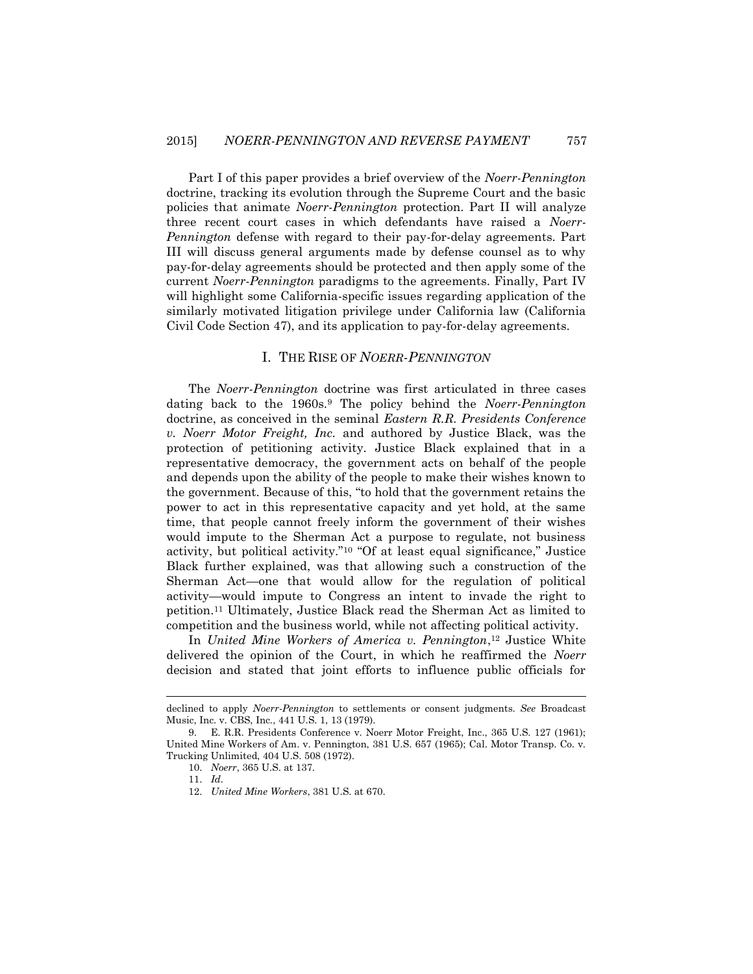Part I of this paper provides a brief overview of the *Noerr-Pennington* doctrine, tracking its evolution through the Supreme Court and the basic policies that animate *Noerr-Pennington* protection. Part II will analyze three recent court cases in which defendants have raised a *Noerr-Pennington* defense with regard to their pay-for-delay agreements. Part III will discuss general arguments made by defense counsel as to why pay-for-delay agreements should be protected and then apply some of the current *Noerr-Pennington* paradigms to the agreements. Finally, Part IV will highlight some California-specific issues regarding application of the similarly motivated litigation privilege under California law (California Civil Code Section 47), and its application to pay-for-delay agreements.

#### I. THE RISE OF *NOERR-PENNINGTON*

The *Noerr-Pennington* doctrine was first articulated in three cases dating back to the 1960s.<sup>9</sup> The policy behind the *Noerr-Pennington* doctrine, as conceived in the seminal *Eastern R.R. Presidents Conference v. Noerr Motor Freight, Inc.* and authored by Justice Black, was the protection of petitioning activity. Justice Black explained that in a representative democracy, the government acts on behalf of the people and depends upon the ability of the people to make their wishes known to the government. Because of this, "to hold that the government retains the power to act in this representative capacity and yet hold, at the same time, that people cannot freely inform the government of their wishes would impute to the Sherman Act a purpose to regulate, not business activity, but political activity."<sup>10</sup> "Of at least equal significance," Justice Black further explained, was that allowing such a construction of the Sherman Act—one that would allow for the regulation of political activity—would impute to Congress an intent to invade the right to petition.<sup>11</sup> Ultimately, Justice Black read the Sherman Act as limited to competition and the business world, while not affecting political activity.

In *United Mine Workers of America v. Pennington*, <sup>12</sup> Justice White delivered the opinion of the Court, in which he reaffirmed the *Noerr* decision and stated that joint efforts to influence public officials for

declined to apply *Noerr-Pennington* to settlements or consent judgments. *See* Broadcast Music, Inc. v. CBS, Inc*.*, 441 U.S. 1, 13 (1979).

<sup>9.</sup> E. R.R. Presidents Conference v. Noerr Motor Freight, Inc., 365 U.S. 127 (1961); United Mine Workers of Am. v. Pennington, 381 U.S. 657 (1965); Cal. Motor Transp. Co. v. Trucking Unlimited, 404 U.S. 508 (1972).

<sup>10.</sup> *Noerr*, 365 U.S. at 137.

<sup>11.</sup> *Id.*

<sup>12.</sup> *United Mine Workers*, 381 U.S. at 670.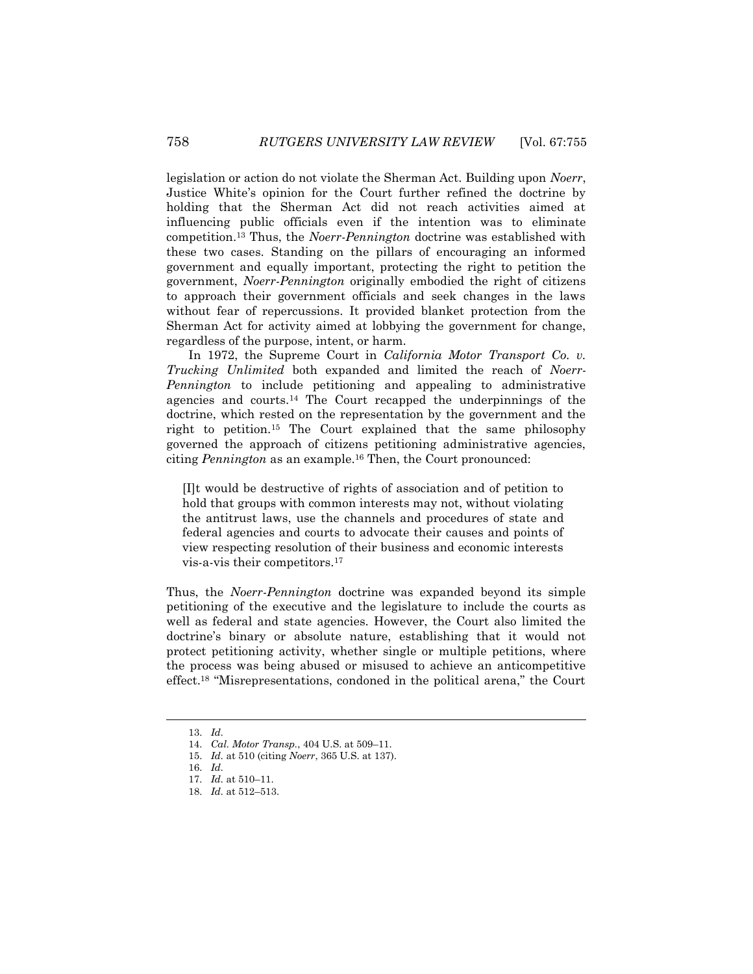legislation or action do not violate the Sherman Act. Building upon *Noerr*, Justice White's opinion for the Court further refined the doctrine by holding that the Sherman Act did not reach activities aimed at influencing public officials even if the intention was to eliminate competition.<sup>13</sup> Thus, the *Noerr-Pennington* doctrine was established with these two cases. Standing on the pillars of encouraging an informed government and equally important, protecting the right to petition the government, *Noerr-Pennington* originally embodied the right of citizens to approach their government officials and seek changes in the laws without fear of repercussions. It provided blanket protection from the Sherman Act for activity aimed at lobbying the government for change, regardless of the purpose, intent, or harm.

In 1972, the Supreme Court in *California Motor Transport Co. v. Trucking Unlimited* both expanded and limited the reach of *Noerr-Pennington* to include petitioning and appealing to administrative agencies and courts.<sup>14</sup> The Court recapped the underpinnings of the doctrine, which rested on the representation by the government and the right to petition.<sup>15</sup> The Court explained that the same philosophy governed the approach of citizens petitioning administrative agencies, citing *Pennington* as an example.<sup>16</sup> Then, the Court pronounced:

[I]t would be destructive of rights of association and of petition to hold that groups with common interests may not, without violating the antitrust laws, use the channels and procedures of state and federal agencies and courts to advocate their causes and points of view respecting resolution of their business and economic interests vis-a-vis their competitors.<sup>17</sup>

Thus, the *Noerr-Pennington* doctrine was expanded beyond its simple petitioning of the executive and the legislature to include the courts as well as federal and state agencies. However, the Court also limited the doctrine's binary or absolute nature, establishing that it would not protect petitioning activity, whether single or multiple petitions, where the process was being abused or misused to achieve an anticompetitive effect.<sup>18</sup> "Misrepresentations, condoned in the political arena," the Court

<sup>13.</sup> *Id.*

<sup>14.</sup> *Cal. Motor Transp.*, 404 U.S. at 509–11.

<sup>15.</sup> *Id.* at 510 (citing *Noerr*, 365 U.S. at 137).

<sup>16.</sup> *Id.*

<sup>17.</sup> *Id.* at 510–11.

<sup>18.</sup> *Id.* at 512–513.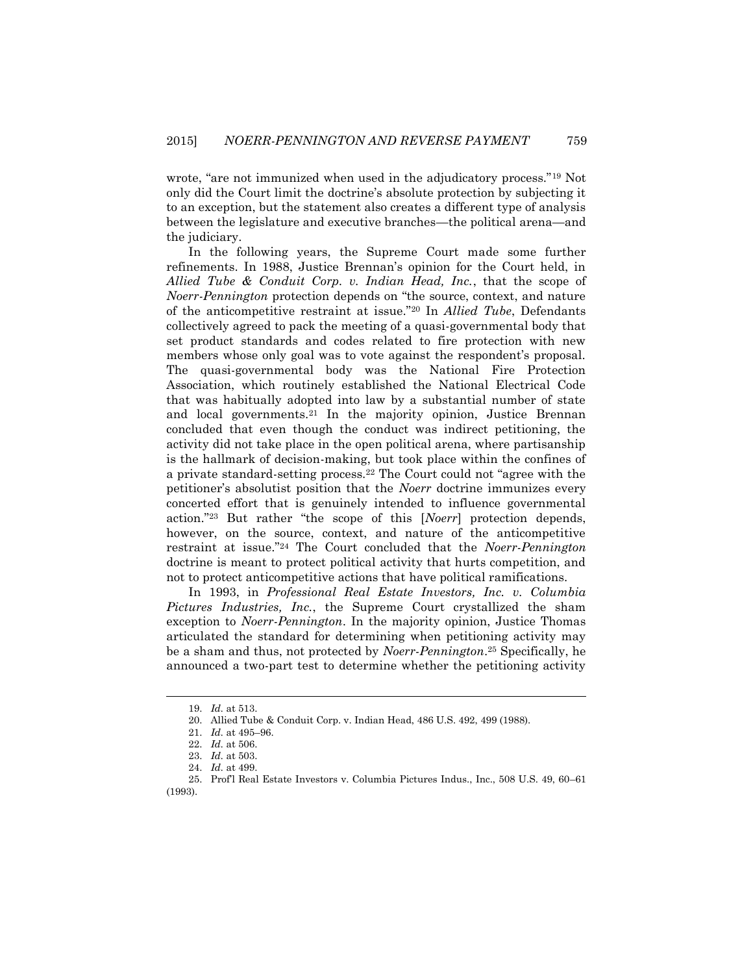wrote, "are not immunized when used in the adjudicatory process."<sup>19</sup> Not only did the Court limit the doctrine's absolute protection by subjecting it to an exception, but the statement also creates a different type of analysis between the legislature and executive branches—the political arena—and the judiciary.

In the following years, the Supreme Court made some further refinements. In 1988, Justice Brennan's opinion for the Court held, in *Allied Tube & Conduit Corp. v. Indian Head, Inc.*, that the scope of *Noerr-Pennington* protection depends on "the source, context, and nature of the anticompetitive restraint at issue."<sup>20</sup> In *Allied Tube*, Defendants collectively agreed to pack the meeting of a quasi-governmental body that set product standards and codes related to fire protection with new members whose only goal was to vote against the respondent's proposal. The quasi-governmental body was the National Fire Protection Association, which routinely established the National Electrical Code that was habitually adopted into law by a substantial number of state and local governments.<sup>21</sup> In the majority opinion, Justice Brennan concluded that even though the conduct was indirect petitioning, the activity did not take place in the open political arena, where partisanship is the hallmark of decision-making, but took place within the confines of a private standard-setting process.<sup>22</sup> The Court could not "agree with the petitioner's absolutist position that the *Noerr* doctrine immunizes every concerted effort that is genuinely intended to influence governmental action."<sup>23</sup> But rather "the scope of this [*Noerr*] protection depends, however, on the source, context, and nature of the anticompetitive restraint at issue."<sup>24</sup> The Court concluded that the *Noerr-Pennington* doctrine is meant to protect political activity that hurts competition, and not to protect anticompetitive actions that have political ramifications.

In 1993, in *Professional Real Estate Investors, Inc. v. Columbia Pictures Industries, Inc.*, the Supreme Court crystallized the sham exception to *Noerr-Pennington*. In the majority opinion, Justice Thomas articulated the standard for determining when petitioning activity may be a sham and thus, not protected by *Noerr-Pennington*. <sup>25</sup> Specifically, he announced a two-part test to determine whether the petitioning activity

<sup>19.</sup> *Id.* at 513.

<sup>20.</sup> Allied Tube & Conduit Corp. v. Indian Head, 486 U.S. 492, 499 (1988).

<sup>21.</sup> *Id.* at 495–96.

<sup>22.</sup> *Id.* at 506.

<sup>23.</sup> *Id.* at 503.

<sup>24.</sup> *Id.* at 499.

<sup>25.</sup> Prof'l Real Estate Investors v. Columbia Pictures Indus., Inc., 508 U.S. 49, 60–61 (1993).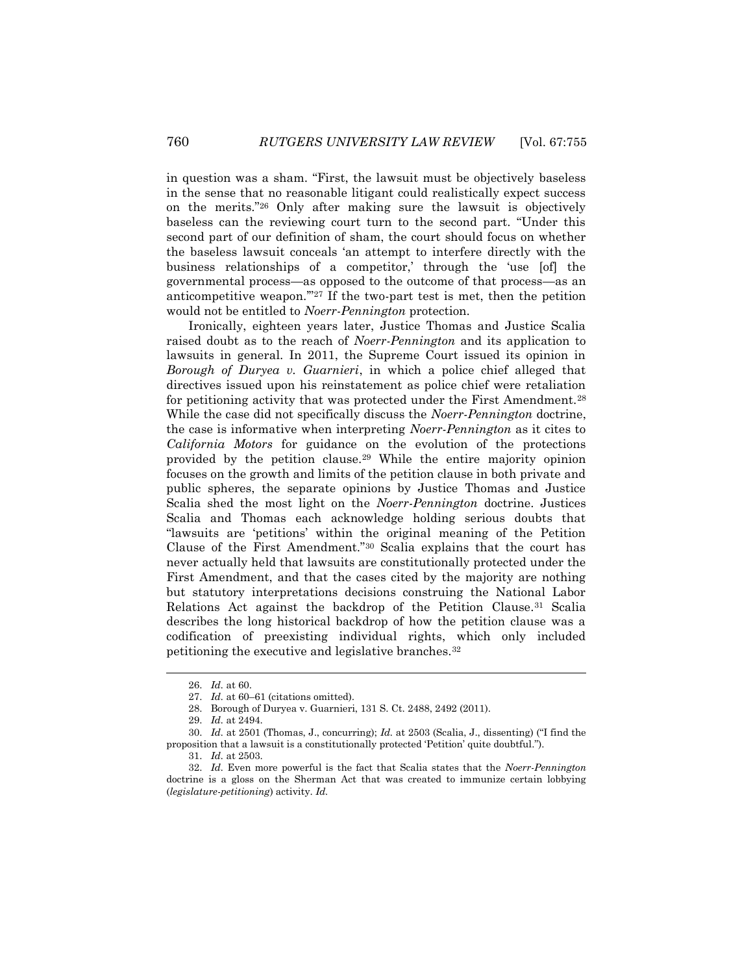in question was a sham. "First, the lawsuit must be objectively baseless in the sense that no reasonable litigant could realistically expect success on the merits."<sup>26</sup> Only after making sure the lawsuit is objectively baseless can the reviewing court turn to the second part. "Under this second part of our definition of sham, the court should focus on whether the baseless lawsuit conceals 'an attempt to interfere directly with the business relationships of a competitor,' through the 'use [of] the governmental process—as opposed to the outcome of that process—as an anticompetitive weapon.'"<sup>27</sup> If the two-part test is met, then the petition would not be entitled to *Noerr-Pennington* protection.

Ironically, eighteen years later, Justice Thomas and Justice Scalia raised doubt as to the reach of *Noerr-Pennington* and its application to lawsuits in general. In 2011, the Supreme Court issued its opinion in *Borough of Duryea v. Guarnieri*, in which a police chief alleged that directives issued upon his reinstatement as police chief were retaliation for petitioning activity that was protected under the First Amendment.<sup>28</sup> While the case did not specifically discuss the *Noerr-Pennington* doctrine, the case is informative when interpreting *Noerr-Pennington* as it cites to *California Motors* for guidance on the evolution of the protections provided by the petition clause.<sup>29</sup> While the entire majority opinion focuses on the growth and limits of the petition clause in both private and public spheres, the separate opinions by Justice Thomas and Justice Scalia shed the most light on the *Noerr-Pennington* doctrine. Justices Scalia and Thomas each acknowledge holding serious doubts that "lawsuits are 'petitions' within the original meaning of the Petition Clause of the First Amendment."<sup>30</sup> Scalia explains that the court has never actually held that lawsuits are constitutionally protected under the First Amendment, and that the cases cited by the majority are nothing but statutory interpretations decisions construing the National Labor Relations Act against the backdrop of the Petition Clause.<sup>31</sup> Scalia describes the long historical backdrop of how the petition clause was a codification of preexisting individual rights, which only included petitioning the executive and legislative branches.<sup>32</sup>

<sup>26.</sup> *Id.* at 60.

<sup>27.</sup> *Id.* at 60–61 (citations omitted).

<sup>28.</sup> Borough of Duryea v. Guarnieri, 131 S. Ct. 2488, 2492 (2011).

<sup>29.</sup> *Id.* at 2494.

<sup>30.</sup> *Id.* at 2501 (Thomas, J., concurring); *Id.* at 2503 (Scalia, J., dissenting) ("I find the proposition that a lawsuit is a constitutionally protected 'Petition' quite doubtful.").

<sup>31.</sup> *Id.* at 2503.

<sup>32.</sup> *Id.* Even more powerful is the fact that Scalia states that the *Noerr-Pennington* doctrine is a gloss on the Sherman Act that was created to immunize certain lobbying (*legislature-petitioning*) activity. *Id.*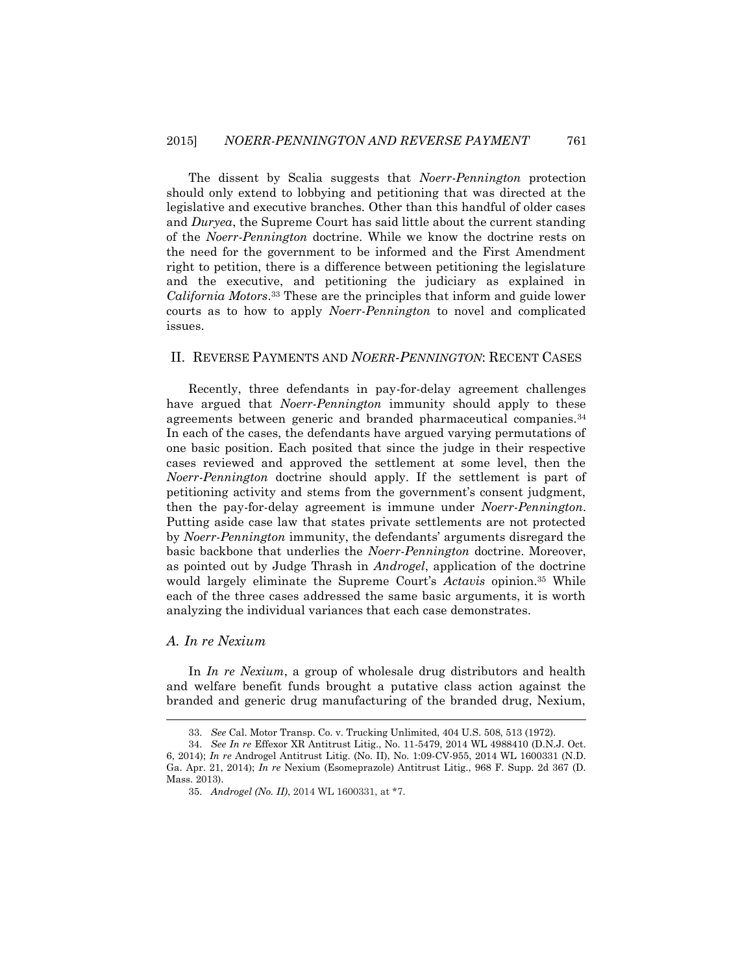The dissent by Scalia suggests that *Noerr-Pennington* protection should only extend to lobbying and petitioning that was directed at the legislative and executive branches. Other than this handful of older cases and *Duryea*, the Supreme Court has said little about the current standing of the *Noerr-Pennington* doctrine. While we know the doctrine rests on the need for the government to be informed and the First Amendment right to petition, there is a difference between petitioning the legislature and the executive, and petitioning the judiciary as explained in *California Motors*. <sup>33</sup> These are the principles that inform and guide lower courts as to how to apply *Noerr-Pennington* to novel and complicated issues.

#### II. REVERSE PAYMENTS AND *NOERR-PENNINGTON*: RECENT CASES

Recently, three defendants in pay-for-delay agreement challenges have argued that *Noerr-Pennington* immunity should apply to these agreements between generic and branded pharmaceutical companies.<sup>34</sup> In each of the cases, the defendants have argued varying permutations of one basic position. Each posited that since the judge in their respective cases reviewed and approved the settlement at some level, then the *Noerr-Pennington* doctrine should apply. If the settlement is part of petitioning activity and stems from the government's consent judgment, then the pay-for-delay agreement is immune under *Noerr-Pennington*. Putting aside case law that states private settlements are not protected by *Noerr-Pennington* immunity, the defendants' arguments disregard the basic backbone that underlies the *Noerr-Pennington* doctrine. Moreover, as pointed out by Judge Thrash in *Androgel*, application of the doctrine would largely eliminate the Supreme Court's *Actavis* opinion.<sup>35</sup> While each of the three cases addressed the same basic arguments, it is worth analyzing the individual variances that each case demonstrates.

#### *A. In re Nexium*

 $\overline{a}$ 

In *In re Nexium*, a group of wholesale drug distributors and health and welfare benefit funds brought a putative class action against the branded and generic drug manufacturing of the branded drug, Nexium,

<sup>33.</sup> *See* Cal. Motor Transp. Co. v. Trucking Unlimited, 404 U.S. 508, 513 (1972).

<sup>34.</sup> *See In re* Effexor XR Antitrust Litig., No. 11-5479, 2014 WL 4988410 (D.N.J. Oct. 6, 2014); *In re* Androgel Antitrust Litig. (No. II), No. 1:09-CV-955, 2014 WL 1600331 (N.D. Ga. Apr. 21, 2014); *In re* Nexium (Esomeprazole) Antitrust Litig., 968 F. Supp. 2d 367 (D. Mass. 2013).

<sup>35.</sup> *Androgel (No. II)*, 2014 WL 1600331, at \*7.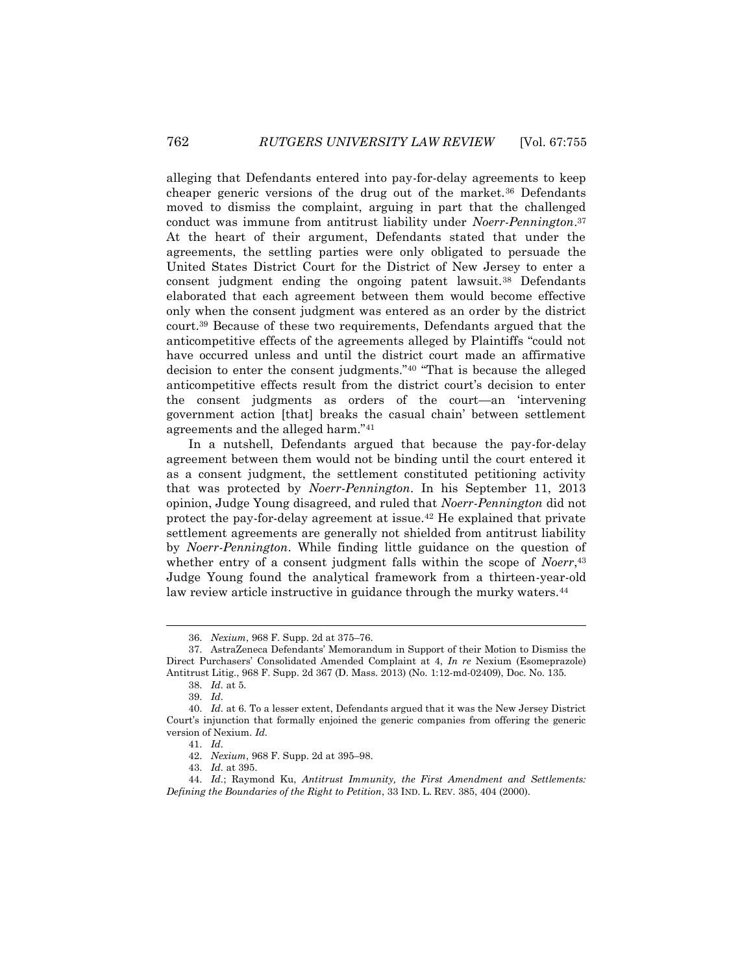alleging that Defendants entered into pay-for-delay agreements to keep cheaper generic versions of the drug out of the market.<sup>36</sup> Defendants moved to dismiss the complaint, arguing in part that the challenged conduct was immune from antitrust liability under *Noerr-Pennington*. 37 At the heart of their argument, Defendants stated that under the agreements, the settling parties were only obligated to persuade the United States District Court for the District of New Jersey to enter a consent judgment ending the ongoing patent lawsuit.<sup>38</sup> Defendants elaborated that each agreement between them would become effective only when the consent judgment was entered as an order by the district court.<sup>39</sup> Because of these two requirements, Defendants argued that the anticompetitive effects of the agreements alleged by Plaintiffs "could not have occurred unless and until the district court made an affirmative decision to enter the consent judgments."<sup>40</sup> "That is because the alleged anticompetitive effects result from the district court's decision to enter the consent judgments as orders of the court—an 'intervening government action [that] breaks the casual chain' between settlement agreements and the alleged harm."<sup>41</sup>

In a nutshell, Defendants argued that because the pay-for-delay agreement between them would not be binding until the court entered it as a consent judgment, the settlement constituted petitioning activity that was protected by *Noerr-Pennington*. In his September 11, 2013 opinion, Judge Young disagreed, and ruled that *Noerr-Pennington* did not protect the pay-for-delay agreement at issue.<sup>42</sup> He explained that private settlement agreements are generally not shielded from antitrust liability by *Noerr-Pennington*. While finding little guidance on the question of whether entry of a consent judgment falls within the scope of *Noerr*, 43 Judge Young found the analytical framework from a thirteen-year-old law review article instructive in guidance through the murky waters.<sup>44</sup>

<sup>36.</sup> *Nexium*, 968 F. Supp. 2d at 375–76.

<sup>37.</sup> AstraZeneca Defendants' Memorandum in Support of their Motion to Dismiss the Direct Purchasers' Consolidated Amended Complaint at 4, *In re* Nexium (Esomeprazole) Antitrust Litig., 968 F. Supp. 2d 367 (D. Mass. 2013) (No. 1:12-md-02409), Doc. No. 135.

<sup>38.</sup> *Id.* at 5.

<sup>39.</sup> *Id.*

<sup>40.</sup> *Id.* at 6. To a lesser extent, Defendants argued that it was the New Jersey District Court's injunction that formally enjoined the generic companies from offering the generic version of Nexium. *Id.*

<sup>41.</sup> *Id.*

<sup>42.</sup> *Nexium*, 968 F. Supp. 2d at 395–98.

<sup>43.</sup> *Id.* at 395.

<sup>44.</sup> *Id.*; Raymond Ku, *Antitrust Immunity, the First Amendment and Settlements: Defining the Boundaries of the Right to Petition*, 33 IND. L. REV. 385, 404 (2000).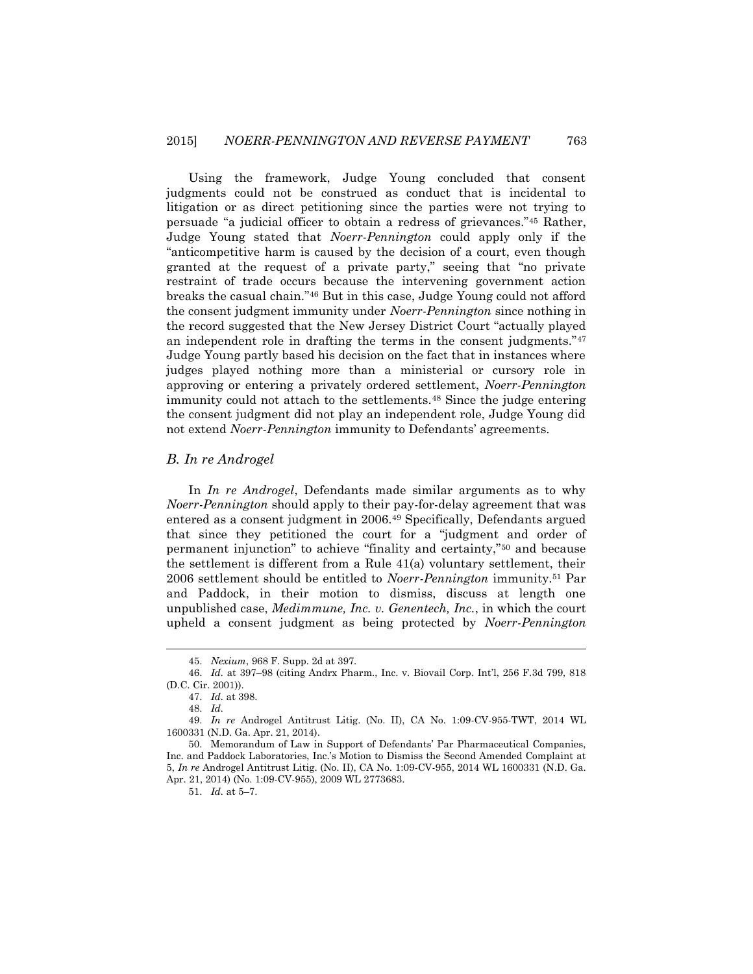Using the framework, Judge Young concluded that consent judgments could not be construed as conduct that is incidental to litigation or as direct petitioning since the parties were not trying to persuade "a judicial officer to obtain a redress of grievances."<sup>45</sup> Rather, Judge Young stated that *Noerr-Pennington* could apply only if the "anticompetitive harm is caused by the decision of a court, even though granted at the request of a private party," seeing that "no private restraint of trade occurs because the intervening government action breaks the casual chain."<sup>46</sup> But in this case, Judge Young could not afford the consent judgment immunity under *Noerr-Pennington* since nothing in the record suggested that the New Jersey District Court "actually played an independent role in drafting the terms in the consent judgments."<sup>47</sup> Judge Young partly based his decision on the fact that in instances where judges played nothing more than a ministerial or cursory role in approving or entering a privately ordered settlement, *Noerr-Pennington*  immunity could not attach to the settlements.<sup>48</sup> Since the judge entering the consent judgment did not play an independent role, Judge Young did not extend *Noerr-Pennington* immunity to Defendants' agreements.

#### *B. In re Androgel*

In *In re Androgel*, Defendants made similar arguments as to why *Noerr-Pennington* should apply to their pay-for-delay agreement that was entered as a consent judgment in 2006.<sup>49</sup> Specifically, Defendants argued that since they petitioned the court for a "judgment and order of permanent injunction" to achieve "finality and certainty,"<sup>50</sup> and because the settlement is different from a Rule  $41(a)$  voluntary settlement, their 2006 settlement should be entitled to *Noerr-Pennington* immunity.<sup>51</sup> Par and Paddock, in their motion to dismiss, discuss at length one unpublished case, *Medimmune, Inc. v. Genentech, Inc.*, in which the court upheld a consent judgment as being protected by *Noerr-Pennington* 

<sup>45.</sup> *Nexium*, 968 F. Supp. 2d at 397.

<sup>46.</sup> *Id.* at 397–98 (citing Andrx Pharm., Inc. v. Biovail Corp. Int'l, 256 F.3d 799, 818 (D.C. Cir. 2001)).

<sup>47.</sup> *Id.* at 398.

<sup>48.</sup> *Id.*

<sup>49.</sup> *In re* Androgel Antitrust Litig. (No. II), CA No. 1:09-CV-955-TWT, 2014 WL 1600331 (N.D. Ga. Apr. 21, 2014).

<sup>50.</sup> Memorandum of Law in Support of Defendants' Par Pharmaceutical Companies, Inc. and Paddock Laboratories, Inc.'s Motion to Dismiss the Second Amended Complaint at 5, *In re* Androgel Antitrust Litig. (No. II), CA No. 1:09-CV-955, 2014 WL 1600331 (N.D. Ga. Apr. 21, 2014) (No. 1:09-CV-955), 2009 WL 2773683.

<sup>51.</sup> *Id.* at 5–7.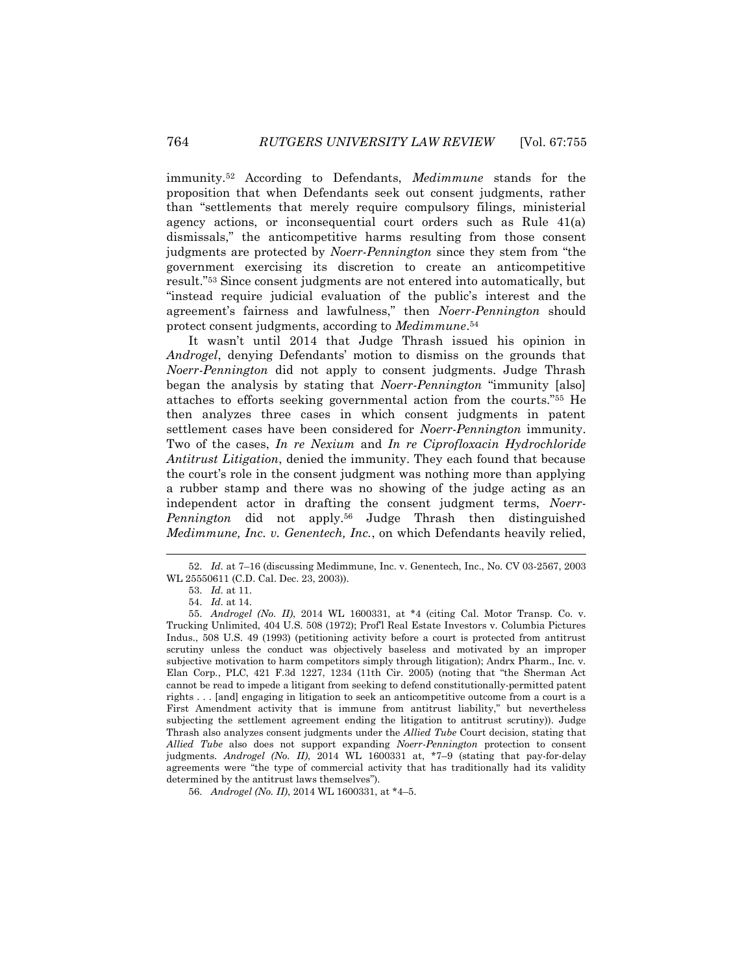immunity.<sup>52</sup> According to Defendants, *Medimmune* stands for the proposition that when Defendants seek out consent judgments, rather than "settlements that merely require compulsory filings, ministerial agency actions, or inconsequential court orders such as Rule 41(a) dismissals," the anticompetitive harms resulting from those consent judgments are protected by *Noerr-Pennington* since they stem from "the government exercising its discretion to create an anticompetitive result."<sup>53</sup> Since consent judgments are not entered into automatically, but "instead require judicial evaluation of the public's interest and the agreement's fairness and lawfulness," then *Noerr-Pennington* should protect consent judgments, according to *Medimmune*. 54

It wasn't until 2014 that Judge Thrash issued his opinion in *Androgel*, denying Defendants' motion to dismiss on the grounds that *Noerr-Pennington* did not apply to consent judgments. Judge Thrash began the analysis by stating that *Noerr-Pennington* "immunity [also] attaches to efforts seeking governmental action from the courts."<sup>55</sup> He then analyzes three cases in which consent judgments in patent settlement cases have been considered for *Noerr-Pennington* immunity. Two of the cases, *In re Nexium* and *In re Ciprofloxacin Hydrochloride Antitrust Litigation*, denied the immunity. They each found that because the court's role in the consent judgment was nothing more than applying a rubber stamp and there was no showing of the judge acting as an independent actor in drafting the consent judgment terms, *Noerr-Pennington* did not apply.<sup>56</sup> Judge Thrash then distinguished *Medimmune, Inc. v. Genentech, Inc.*, on which Defendants heavily relied,

<sup>52.</sup> *Id.* at 7–16 (discussing Medimmune, Inc. v. Genentech, Inc., No. CV 03-2567, 2003 WL 25550611 (C.D. Cal. Dec. 23, 2003)).

<sup>53.</sup> *Id.* at 11.

<sup>54.</sup> *Id.* at 14.

<sup>55.</sup> *Androgel (No. II)*, 2014 WL 1600331, at \*4 (citing Cal. Motor Transp. Co. v. Trucking Unlimited, 404 U.S. 508 (1972); Prof'l Real Estate Investors v. Columbia Pictures Indus., 508 U.S. 49 (1993) (petitioning activity before a court is protected from antitrust scrutiny unless the conduct was objectively baseless and motivated by an improper subjective motivation to harm competitors simply through litigation); Andrx Pharm., Inc. v. Elan Corp*.*, PLC, 421 F.3d 1227, 1234 (11th Cir. 2005) (noting that "the Sherman Act cannot be read to impede a litigant from seeking to defend constitutionally-permitted patent rights . . . [and] engaging in litigation to seek an anticompetitive outcome from a court is a First Amendment activity that is immune from antitrust liability," but nevertheless subjecting the settlement agreement ending the litigation to antitrust scrutiny)). Judge Thrash also analyzes consent judgments under the *Allied Tube* Court decision, stating that *Allied Tube* also does not support expanding *Noerr-Pennington* protection to consent judgments. *Androgel (No. II)*, 2014 WL 1600331 at, \*7–9 (stating that pay-for-delay agreements were "the type of commercial activity that has traditionally had its validity determined by the antitrust laws themselves").

<sup>56.</sup> *Androgel (No. II)*, 2014 WL 1600331, at \*4–5.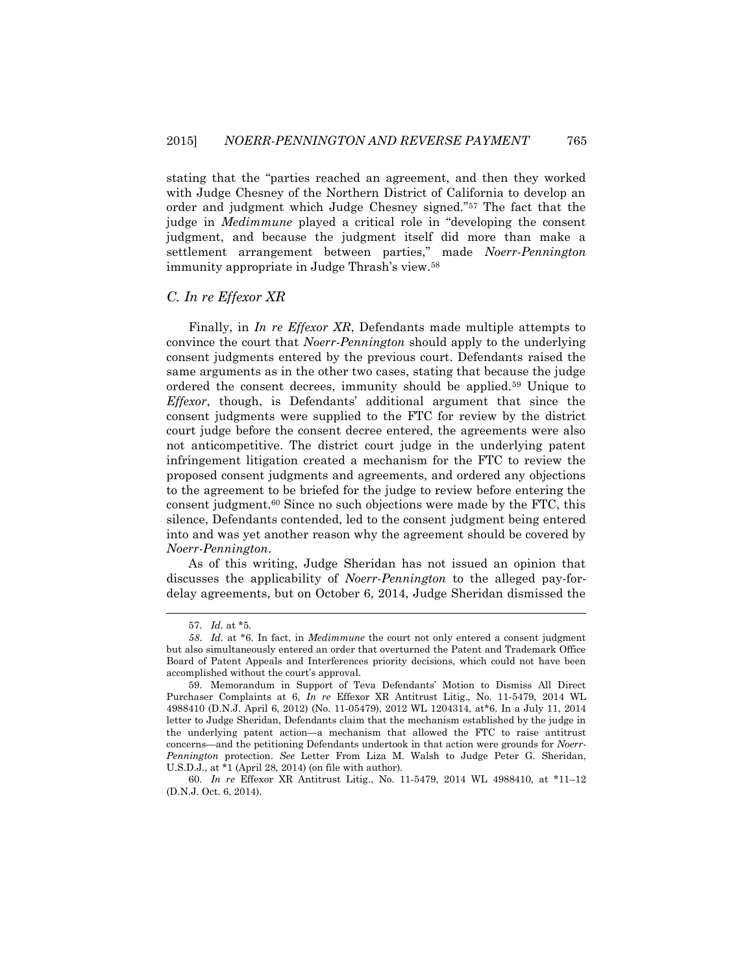stating that the "parties reached an agreement, and then they worked with Judge Chesney of the Northern District of California to develop an order and judgment which Judge Chesney signed."<sup>57</sup> The fact that the judge in *Medimmune* played a critical role in "developing the consent judgment, and because the judgment itself did more than make a settlement arrangement between parties," made *Noerr-Pennington* immunity appropriate in Judge Thrash's view.<sup>58</sup>

### *C. In re Effexor XR*

Finally, in *In re Effexor XR*, Defendants made multiple attempts to convince the court that *Noerr-Pennington* should apply to the underlying consent judgments entered by the previous court. Defendants raised the same arguments as in the other two cases, stating that because the judge ordered the consent decrees, immunity should be applied.<sup>59</sup> Unique to *Effexor*, though, is Defendants' additional argument that since the consent judgments were supplied to the FTC for review by the district court judge before the consent decree entered, the agreements were also not anticompetitive. The district court judge in the underlying patent infringement litigation created a mechanism for the FTC to review the proposed consent judgments and agreements, and ordered any objections to the agreement to be briefed for the judge to review before entering the consent judgment.<sup>60</sup> Since no such objections were made by the FTC, this silence, Defendants contended, led to the consent judgment being entered into and was yet another reason why the agreement should be covered by *Noerr-Pennington*.

As of this writing, Judge Sheridan has not issued an opinion that discusses the applicability of *Noerr-Pennington* to the alleged pay-fordelay agreements, but on October 6, 2014, Judge Sheridan dismissed the

<sup>57.</sup> *Id.* at \*5.

*<sup>58</sup>*. *Id.* at \*6. In fact, in *Medimmune* the court not only entered a consent judgment but also simultaneously entered an order that overturned the Patent and Trademark Office Board of Patent Appeals and Interferences priority decisions, which could not have been accomplished without the court's approval.

<sup>59.</sup> Memorandum in Support of Teva Defendants' Motion to Dismiss All Direct Purchaser Complaints at 6, *In re* Effexor XR Antitrust Litig., No. 11-5479, 2014 WL 4988410 (D.N.J. April 6, 2012) (No. 11-05479), 2012 WL 1204314, at\*6. In a July 11, 2014 letter to Judge Sheridan, Defendants claim that the mechanism established by the judge in the underlying patent action—a mechanism that allowed the FTC to raise antitrust concerns—and the petitioning Defendants undertook in that action were grounds for *Noerr-Pennington* protection. *See* Letter From Liza M. Walsh to Judge Peter G. Sheridan, U.S.D.J., at \*1 (April 28, 2014) (on file with author).

<sup>60.</sup> *In re* Effexor XR Antitrust Litig., No. 11-5479, 2014 WL 4988410, at \*11–12 (D.N.J. Oct. 6, 2014).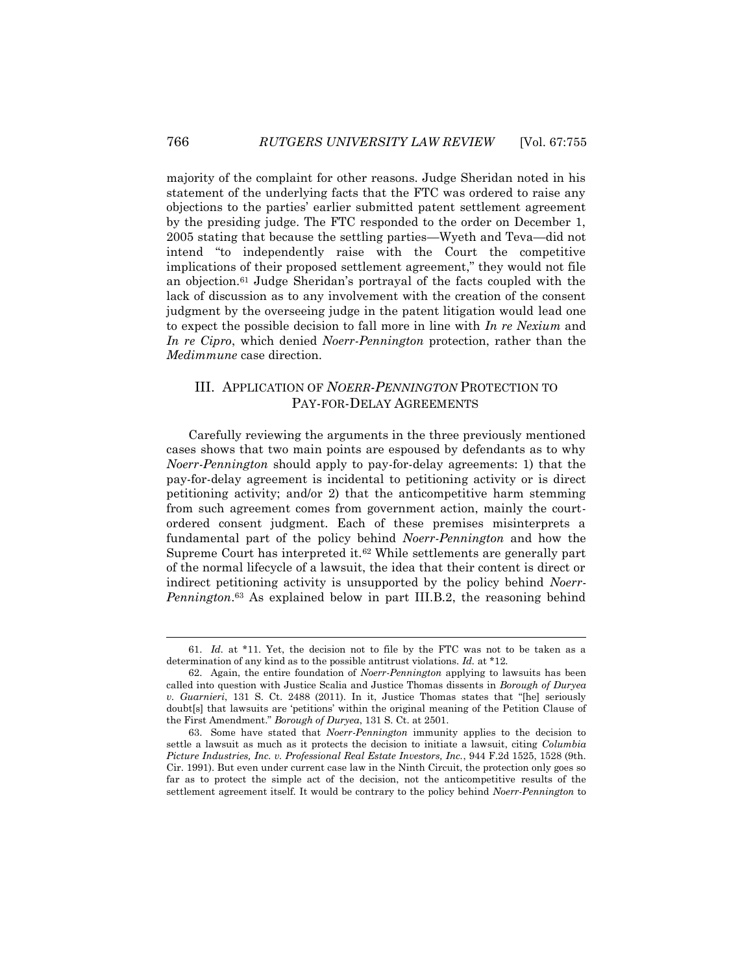majority of the complaint for other reasons. Judge Sheridan noted in his statement of the underlying facts that the FTC was ordered to raise any objections to the parties' earlier submitted patent settlement agreement by the presiding judge. The FTC responded to the order on December 1, 2005 stating that because the settling parties—Wyeth and Teva—did not intend "to independently raise with the Court the competitive implications of their proposed settlement agreement," they would not file an objection.<sup>61</sup> Judge Sheridan's portrayal of the facts coupled with the lack of discussion as to any involvement with the creation of the consent judgment by the overseeing judge in the patent litigation would lead one to expect the possible decision to fall more in line with *In re Nexium* and *In re Cipro*, which denied *Noerr-Pennington* protection, rather than the *Medimmune* case direction.

### III. APPLICATION OF *NOERR-PENNINGTON* PROTECTION TO PAY-FOR-DELAY AGREEMENTS

Carefully reviewing the arguments in the three previously mentioned cases shows that two main points are espoused by defendants as to why *Noerr-Pennington* should apply to pay-for-delay agreements: 1) that the pay-for-delay agreement is incidental to petitioning activity or is direct petitioning activity; and/or 2) that the anticompetitive harm stemming from such agreement comes from government action, mainly the courtordered consent judgment. Each of these premises misinterprets a fundamental part of the policy behind *Noerr-Pennington* and how the Supreme Court has interpreted it.<sup>62</sup> While settlements are generally part of the normal lifecycle of a lawsuit, the idea that their content is direct or indirect petitioning activity is unsupported by the policy behind *Noerr-Pennington*. <sup>63</sup> As explained below in part III.B.2, the reasoning behind

l

<sup>61.</sup> *Id.* at \*11. Yet, the decision not to file by the FTC was not to be taken as a determination of any kind as to the possible antitrust violations. *Id.* at \*12.

<sup>62.</sup> Again, the entire foundation of *Noerr-Pennington* applying to lawsuits has been called into question with Justice Scalia and Justice Thomas dissents in *Borough of Duryea v. Guarnieri*, 131 S. Ct. 2488 (2011). In it, Justice Thomas states that "[he] seriously doubt[s] that lawsuits are 'petitions' within the original meaning of the Petition Clause of the First Amendment." *Borough of Duryea*, 131 S. Ct. at 2501.

<sup>63.</sup> Some have stated that *Noerr-Pennington* immunity applies to the decision to settle a lawsuit as much as it protects the decision to initiate a lawsuit, citing *Columbia Picture Industries, Inc. v. Professional Real Estate Investors, Inc.*, 944 F.2d 1525, 1528 (9th. Cir. 1991). But even under current case law in the Ninth Circuit, the protection only goes so far as to protect the simple act of the decision, not the anticompetitive results of the settlement agreement itself. It would be contrary to the policy behind *Noerr-Pennington* to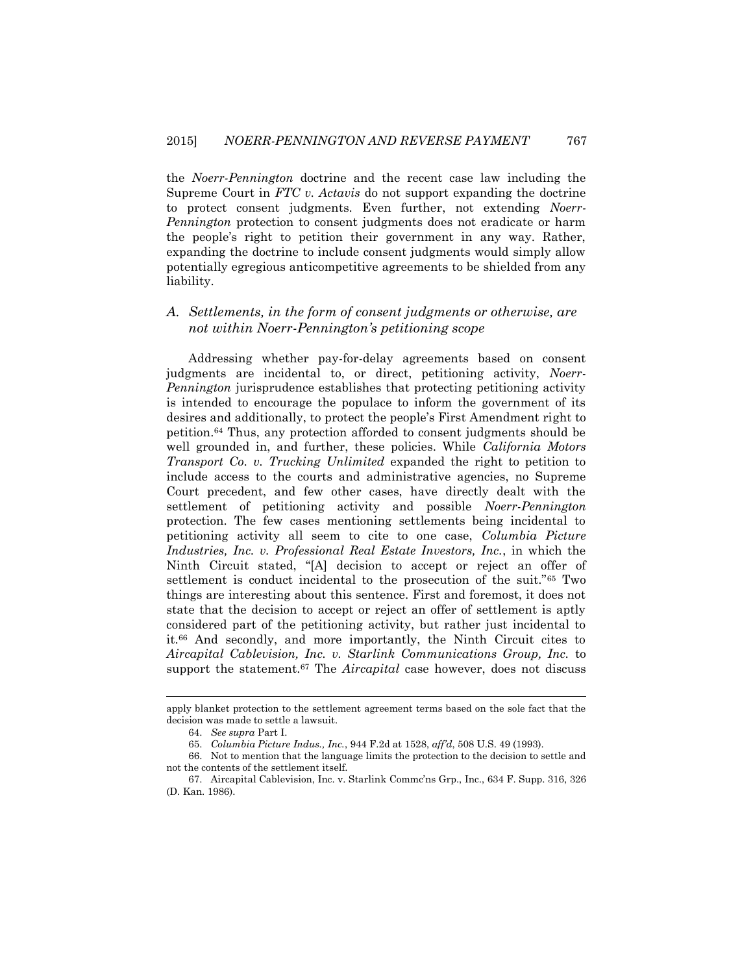the *Noerr-Pennington* doctrine and the recent case law including the Supreme Court in *FTC v. Actavis* do not support expanding the doctrine to protect consent judgments. Even further, not extending *Noerr-Pennington* protection to consent judgments does not eradicate or harm the people's right to petition their government in any way. Rather, expanding the doctrine to include consent judgments would simply allow potentially egregious anticompetitive agreements to be shielded from any liability.

### *A. Settlements, in the form of consent judgments or otherwise, are not within Noerr-Pennington's petitioning scope*

Addressing whether pay-for-delay agreements based on consent judgments are incidental to, or direct, petitioning activity, *Noerr-Pennington* jurisprudence establishes that protecting petitioning activity is intended to encourage the populace to inform the government of its desires and additionally, to protect the people's First Amendment right to petition.<sup>64</sup> Thus, any protection afforded to consent judgments should be well grounded in, and further, these policies. While *California Motors Transport Co. v. Trucking Unlimited* expanded the right to petition to include access to the courts and administrative agencies, no Supreme Court precedent, and few other cases, have directly dealt with the settlement of petitioning activity and possible *Noerr-Pennington*  protection. The few cases mentioning settlements being incidental to petitioning activity all seem to cite to one case, *Columbia Picture Industries, Inc. v. Professional Real Estate Investors, Inc.*, in which the Ninth Circuit stated, "[A] decision to accept or reject an offer of settlement is conduct incidental to the prosecution of the suit."<sup>65</sup> Two things are interesting about this sentence. First and foremost, it does not state that the decision to accept or reject an offer of settlement is aptly considered part of the petitioning activity, but rather just incidental to it.<sup>66</sup> And secondly, and more importantly, the Ninth Circuit cites to *Aircapital Cablevision, Inc. v. Starlink Communications Group, Inc.* to support the statement.<sup>67</sup> The *Aircapital* case however, does not discuss

apply blanket protection to the settlement agreement terms based on the sole fact that the decision was made to settle a lawsuit.

<sup>64.</sup> *See supra* Part I.

<sup>65.</sup> *Columbia Picture Indus., Inc.*, 944 F.2d at 1528, *aff'd*, 508 U.S. 49 (1993).

<sup>66.</sup> Not to mention that the language limits the protection to the decision to settle and not the contents of the settlement itself.

<sup>67.</sup> Aircapital Cablevision, Inc. v. Starlink Commc'ns Grp., Inc., 634 F. Supp. 316, 326 (D. Kan. 1986).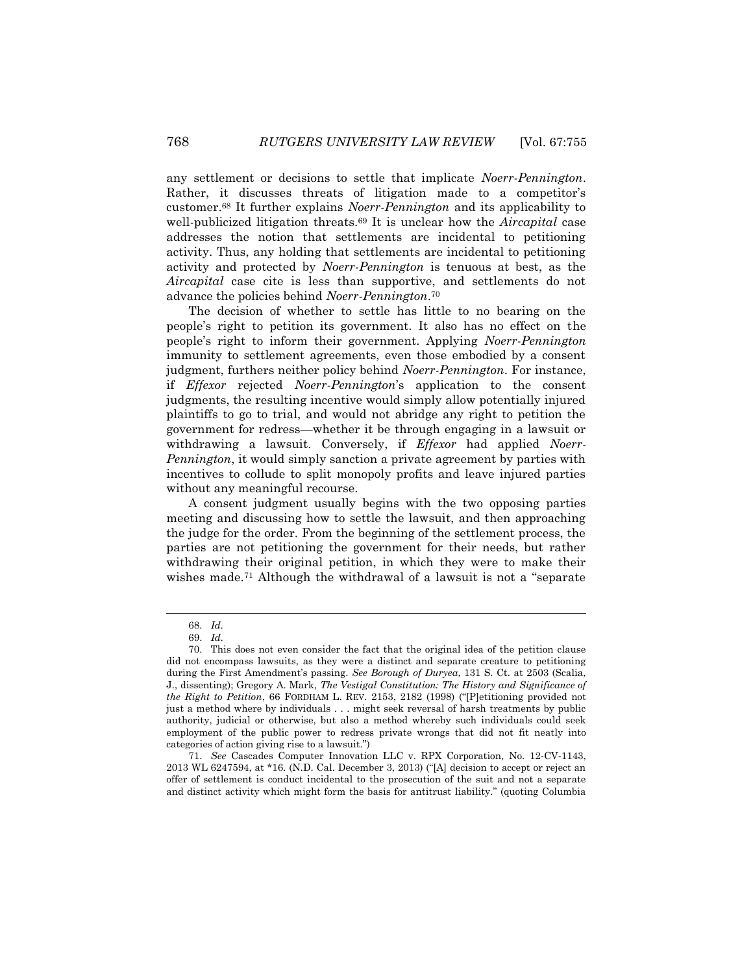any settlement or decisions to settle that implicate *Noerr-Pennington*. Rather, it discusses threats of litigation made to a competitor's customer.<sup>68</sup> It further explains *Noerr-Pennington* and its applicability to well-publicized litigation threats.<sup>69</sup> It is unclear how the *Aircapital* case addresses the notion that settlements are incidental to petitioning activity. Thus, any holding that settlements are incidental to petitioning activity and protected by *Noerr-Pennington* is tenuous at best, as the *Aircapital* case cite is less than supportive, and settlements do not advance the policies behind *Noerr-Pennington*. 70

The decision of whether to settle has little to no bearing on the people's right to petition its government. It also has no effect on the people's right to inform their government. Applying *Noerr-Pennington* immunity to settlement agreements, even those embodied by a consent judgment, furthers neither policy behind *Noerr-Pennington*. For instance, if *Effexor* rejected *Noerr-Pennington*'s application to the consent judgments, the resulting incentive would simply allow potentially injured plaintiffs to go to trial, and would not abridge any right to petition the government for redress—whether it be through engaging in a lawsuit or withdrawing a lawsuit. Conversely, if *Effexor* had applied *Noerr-Pennington*, it would simply sanction a private agreement by parties with incentives to collude to split monopoly profits and leave injured parties without any meaningful recourse.

A consent judgment usually begins with the two opposing parties meeting and discussing how to settle the lawsuit, and then approaching the judge for the order. From the beginning of the settlement process, the parties are not petitioning the government for their needs, but rather withdrawing their original petition, in which they were to make their wishes made.<sup>71</sup> Although the withdrawal of a lawsuit is not a "separate

<sup>68.</sup> *Id.*

<sup>69.</sup> *Id.*

<sup>70.</sup> This does not even consider the fact that the original idea of the petition clause did not encompass lawsuits, as they were a distinct and separate creature to petitioning during the First Amendment's passing. *See Borough of Duryea*, 131 S. Ct. at 2503 (Scalia, J., dissenting); Gregory A. Mark, *The Vestigal Constitution: The History and Significance of the Right to Petition*, 66 FORDHAM L. REV. 2153, 2182 (1998) ("[P]etitioning provided not just a method where by individuals . . . might seek reversal of harsh treatments by public authority, judicial or otherwise, but also a method whereby such individuals could seek employment of the public power to redress private wrongs that did not fit neatly into categories of action giving rise to a lawsuit.")

<sup>71.</sup> *See* Cascades Computer Innovation LLC v. RPX Corporation*,* No. 12-CV-1143, 2013 WL 6247594, at \*16. (N.D. Cal. December 3, 2013) ("[A] decision to accept or reject an offer of settlement is conduct incidental to the prosecution of the suit and not a separate and distinct activity which might form the basis for antitrust liability." (quoting Columbia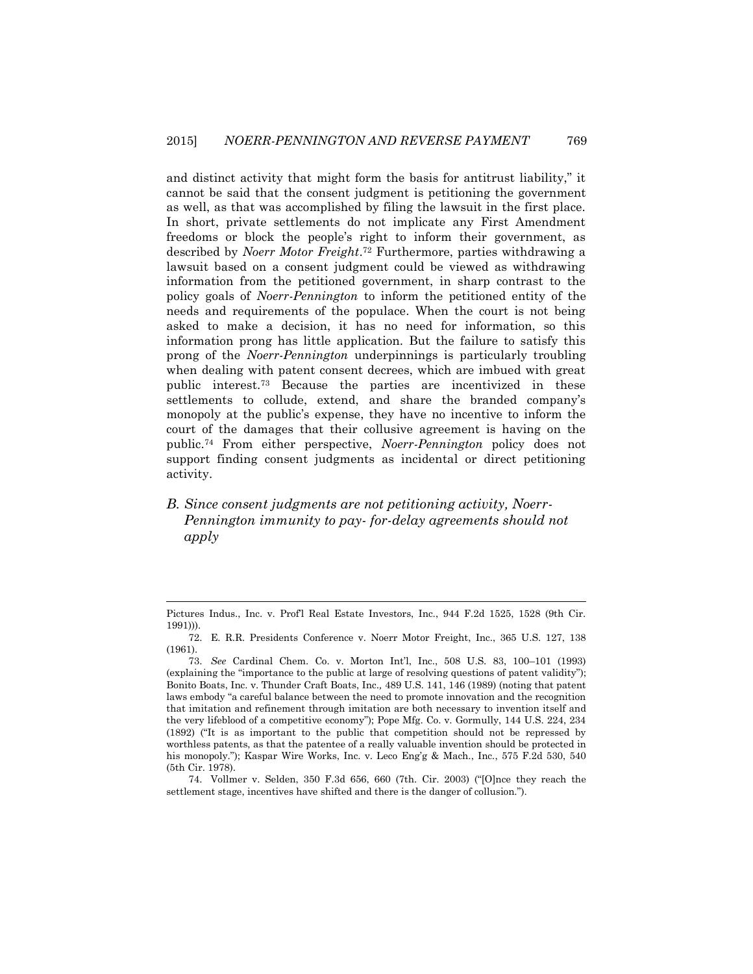and distinct activity that might form the basis for antitrust liability," it cannot be said that the consent judgment is petitioning the government as well, as that was accomplished by filing the lawsuit in the first place. In short, private settlements do not implicate any First Amendment freedoms or block the people's right to inform their government, as described by *Noerr Motor Freight*. <sup>72</sup> Furthermore, parties withdrawing a lawsuit based on a consent judgment could be viewed as withdrawing information from the petitioned government, in sharp contrast to the policy goals of *Noerr-Pennington* to inform the petitioned entity of the needs and requirements of the populace. When the court is not being asked to make a decision, it has no need for information, so this information prong has little application. But the failure to satisfy this prong of the *Noerr-Pennington* underpinnings is particularly troubling when dealing with patent consent decrees, which are imbued with great public interest.<sup>73</sup> Because the parties are incentivized in these settlements to collude, extend, and share the branded company's monopoly at the public's expense, they have no incentive to inform the court of the damages that their collusive agreement is having on the public.<sup>74</sup> From either perspective, *Noerr-Pennington* policy does not support finding consent judgments as incidental or direct petitioning activity.

*B. Since consent judgments are not petitioning activity, Noerr-Pennington immunity to pay- for-delay agreements should not apply*

Pictures Indus., Inc. v. Prof'l Real Estate Investors, Inc., 944 F.2d 1525, 1528 (9th Cir. 1991))).

<sup>72.</sup> E. R.R. Presidents Conference v. Noerr Motor Freight, Inc., 365 U.S. 127, 138 (1961).

<sup>73.</sup> *See* Cardinal Chem. Co. v. Morton Int'l, Inc., 508 U.S. 83, 100–101 (1993) (explaining the "importance to the public at large of resolving questions of patent validity"); Bonito Boats, Inc. v. Thunder Craft Boats, Inc.*,* 489 U.S. 141, 146 (1989) (noting that patent laws embody "a careful balance between the need to promote innovation and the recognition that imitation and refinement through imitation are both necessary to invention itself and the very lifeblood of a competitive economy"); Pope Mfg. Co. v. Gormully, 144 U.S. 224, 234 (1892) ("It is as important to the public that competition should not be repressed by worthless patents, as that the patentee of a really valuable invention should be protected in his monopoly."); Kaspar Wire Works, Inc. v. Leco Eng'g & Mach., Inc*.*, 575 F.2d 530, 540 (5th Cir. 1978).

<sup>74.</sup> Vollmer v. Selden, 350 F.3d 656, 660 (7th. Cir. 2003) ("[O]nce they reach the settlement stage, incentives have shifted and there is the danger of collusion.").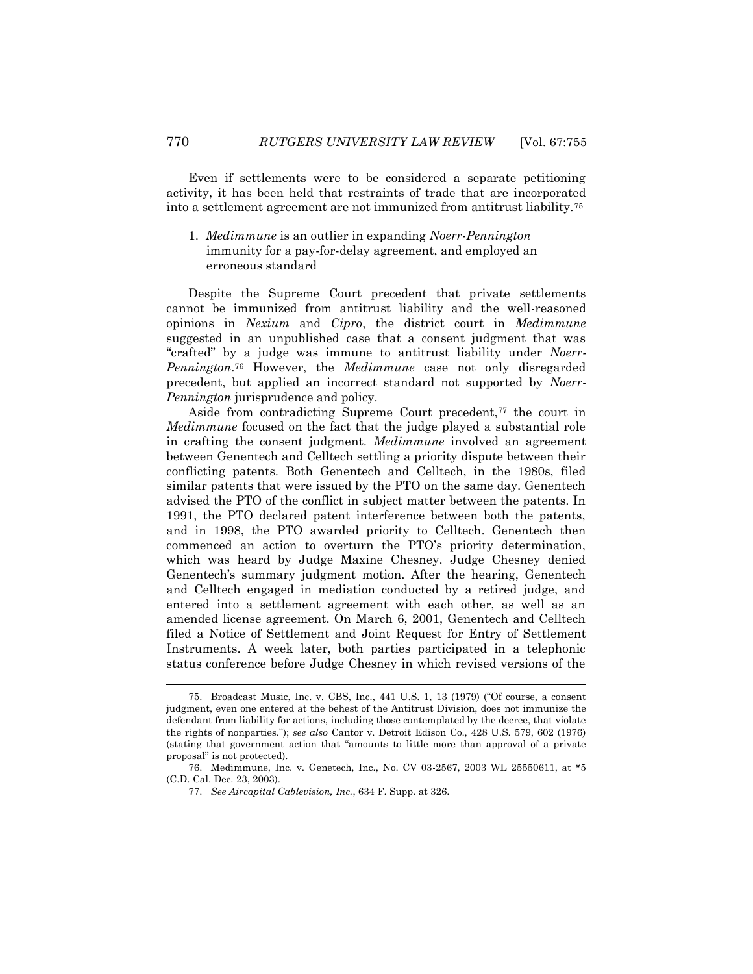Even if settlements were to be considered a separate petitioning activity, it has been held that restraints of trade that are incorporated into a settlement agreement are not immunized from antitrust liability.<sup>75</sup>

1. *Medimmune* is an outlier in expanding *Noerr-Pennington* immunity for a pay-for-delay agreement, and employed an erroneous standard

Despite the Supreme Court precedent that private settlements cannot be immunized from antitrust liability and the well-reasoned opinions in *Nexium* and *Cipro*, the district court in *Medimmune*  suggested in an unpublished case that a consent judgment that was "crafted" by a judge was immune to antitrust liability under *Noerr-Pennington*. <sup>76</sup> However, the *Medimmune* case not only disregarded precedent, but applied an incorrect standard not supported by *Noerr-Pennington* jurisprudence and policy.

Aside from contradicting Supreme Court precedent,<sup>77</sup> the court in *Medimmune* focused on the fact that the judge played a substantial role in crafting the consent judgment. *Medimmune* involved an agreement between Genentech and Celltech settling a priority dispute between their conflicting patents. Both Genentech and Celltech, in the 1980s, filed similar patents that were issued by the PTO on the same day. Genentech advised the PTO of the conflict in subject matter between the patents. In 1991, the PTO declared patent interference between both the patents, and in 1998, the PTO awarded priority to Celltech. Genentech then commenced an action to overturn the PTO's priority determination, which was heard by Judge Maxine Chesney. Judge Chesney denied Genentech's summary judgment motion. After the hearing, Genentech and Celltech engaged in mediation conducted by a retired judge, and entered into a settlement agreement with each other, as well as an amended license agreement. On March 6, 2001, Genentech and Celltech filed a Notice of Settlement and Joint Request for Entry of Settlement Instruments. A week later, both parties participated in a telephonic status conference before Judge Chesney in which revised versions of the

<sup>75.</sup> Broadcast Music, Inc. v. CBS, Inc*.*, 441 U.S. 1, 13 (1979) ("Of course, a consent judgment, even one entered at the behest of the Antitrust Division, does not immunize the defendant from liability for actions, including those contemplated by the decree, that violate the rights of nonparties."); *see also* Cantor v. Detroit Edison Co., 428 U.S. 579, 602 (1976) (stating that government action that "amounts to little more than approval of a private proposal" is not protected).

<sup>76.</sup> Medimmune, Inc. v. Genetech, Inc., No. CV 03-2567, 2003 WL 25550611, at \*5 (C.D. Cal. Dec. 23, 2003).

<sup>77.</sup> *See Aircapital Cablevision, Inc.*, 634 F. Supp. at 326.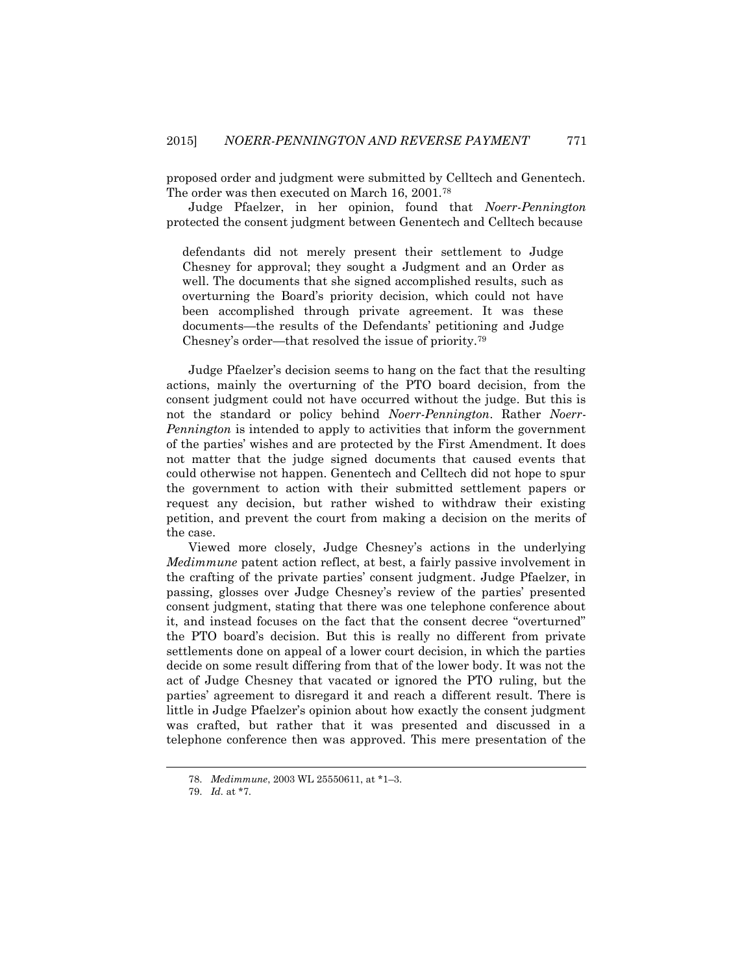proposed order and judgment were submitted by Celltech and Genentech. The order was then executed on March 16, 2001.<sup>78</sup>

Judge Pfaelzer, in her opinion, found that *Noerr-Pennington* protected the consent judgment between Genentech and Celltech because

defendants did not merely present their settlement to Judge Chesney for approval; they sought a Judgment and an Order as well. The documents that she signed accomplished results, such as overturning the Board's priority decision, which could not have been accomplished through private agreement. It was these documents—the results of the Defendants' petitioning and Judge Chesney's order—that resolved the issue of priority.<sup>79</sup>

Judge Pfaelzer's decision seems to hang on the fact that the resulting actions, mainly the overturning of the PTO board decision, from the consent judgment could not have occurred without the judge. But this is not the standard or policy behind *Noerr-Pennington*. Rather *Noerr-Pennington* is intended to apply to activities that inform the government of the parties' wishes and are protected by the First Amendment. It does not matter that the judge signed documents that caused events that could otherwise not happen. Genentech and Celltech did not hope to spur the government to action with their submitted settlement papers or request any decision, but rather wished to withdraw their existing petition, and prevent the court from making a decision on the merits of the case.

Viewed more closely, Judge Chesney's actions in the underlying *Medimmune* patent action reflect, at best, a fairly passive involvement in the crafting of the private parties' consent judgment. Judge Pfaelzer, in passing, glosses over Judge Chesney's review of the parties' presented consent judgment, stating that there was one telephone conference about it, and instead focuses on the fact that the consent decree "overturned" the PTO board's decision. But this is really no different from private settlements done on appeal of a lower court decision, in which the parties decide on some result differing from that of the lower body. It was not the act of Judge Chesney that vacated or ignored the PTO ruling, but the parties' agreement to disregard it and reach a different result. There is little in Judge Pfaelzer's opinion about how exactly the consent judgment was crafted, but rather that it was presented and discussed in a telephone conference then was approved. This mere presentation of the

<sup>78.</sup> *Medimmune*, 2003 WL 25550611, at \*1–3.

<sup>79.</sup> *Id.* at \*7.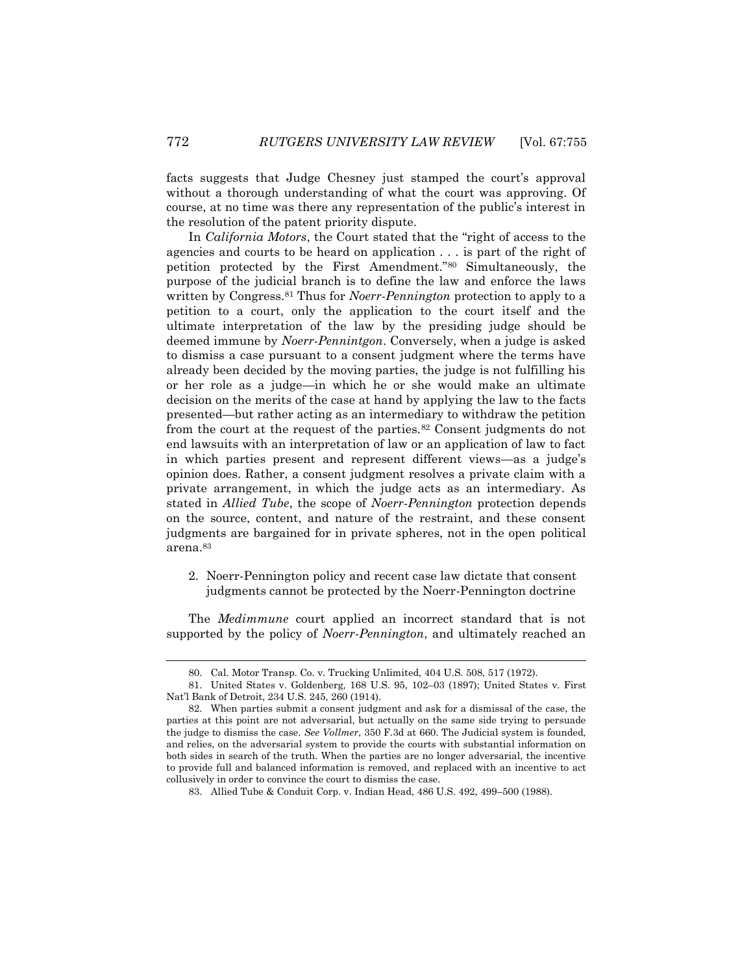facts suggests that Judge Chesney just stamped the court's approval without a thorough understanding of what the court was approving. Of course, at no time was there any representation of the public's interest in the resolution of the patent priority dispute.

In *California Motors*, the Court stated that the "right of access to the agencies and courts to be heard on application . . . is part of the right of petition protected by the First Amendment."<sup>80</sup> Simultaneously, the purpose of the judicial branch is to define the law and enforce the laws written by Congress.<sup>81</sup> Thus for *Noerr-Pennington* protection to apply to a petition to a court, only the application to the court itself and the ultimate interpretation of the law by the presiding judge should be deemed immune by *Noerr-Pennintgon*. Conversely, when a judge is asked to dismiss a case pursuant to a consent judgment where the terms have already been decided by the moving parties, the judge is not fulfilling his or her role as a judge—in which he or she would make an ultimate decision on the merits of the case at hand by applying the law to the facts presented—but rather acting as an intermediary to withdraw the petition from the court at the request of the parties.<sup>82</sup> Consent judgments do not end lawsuits with an interpretation of law or an application of law to fact in which parties present and represent different views—as a judge's opinion does. Rather, a consent judgment resolves a private claim with a private arrangement, in which the judge acts as an intermediary. As stated in *Allied Tube*, the scope of *Noerr-Pennington* protection depends on the source, content, and nature of the restraint, and these consent judgments are bargained for in private spheres, not in the open political arena.<sup>83</sup>

2. Noerr-Pennington policy and recent case law dictate that consent judgments cannot be protected by the Noerr-Pennington doctrine

The *Medimmune* court applied an incorrect standard that is not supported by the policy of *Noerr-Pennington*, and ultimately reached an

<sup>80.</sup> Cal. Motor Transp. Co. v. Trucking Unlimited*,* 404 U.S. 508, 517 (1972).

<sup>81.</sup> United States v. Goldenberg*,* 168 U.S. 95, 102–03 (1897); United States v. First Nat'l Bank of Detroit, 234 U.S. 245, 260 (1914).

<sup>82.</sup> When parties submit a consent judgment and ask for a dismissal of the case, the parties at this point are not adversarial, but actually on the same side trying to persuade the judge to dismiss the case. *See Vollmer*, 350 F.3d at 660. The Judicial system is founded, and relies, on the adversarial system to provide the courts with substantial information on both sides in search of the truth. When the parties are no longer adversarial, the incentive to provide full and balanced information is removed, and replaced with an incentive to act collusively in order to convince the court to dismiss the case.

<sup>83.</sup> Allied Tube & Conduit Corp. v. Indian Head, 486 U.S. 492, 499–500 (1988).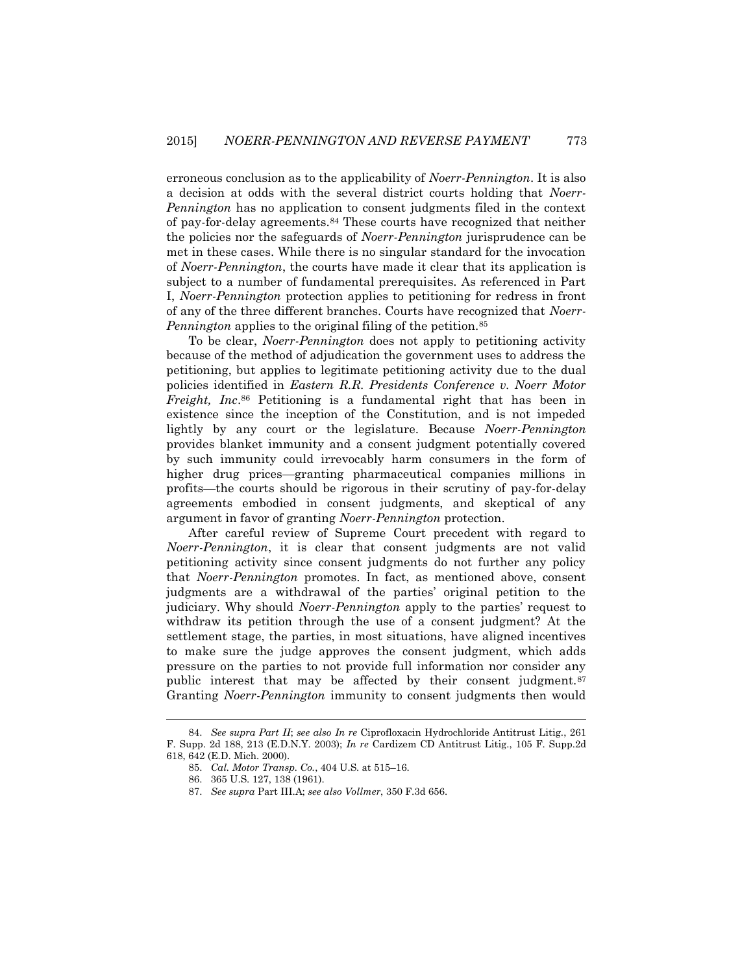erroneous conclusion as to the applicability of *Noerr-Pennington*. It is also a decision at odds with the several district courts holding that *Noerr-Pennington* has no application to consent judgments filed in the context of pay-for-delay agreements.<sup>84</sup> These courts have recognized that neither the policies nor the safeguards of *Noerr-Pennington* jurisprudence can be met in these cases. While there is no singular standard for the invocation of *Noerr-Pennington*, the courts have made it clear that its application is subject to a number of fundamental prerequisites. As referenced in Part I, *Noerr-Pennington* protection applies to petitioning for redress in front of any of the three different branches. Courts have recognized that *Noerr-Pennington* applies to the original filing of the petition.<sup>85</sup>

To be clear, *Noerr-Pennington* does not apply to petitioning activity because of the method of adjudication the government uses to address the petitioning, but applies to legitimate petitioning activity due to the dual policies identified in *Eastern R.R. Presidents Conference v. Noerr Motor Freight, Inc*. <sup>86</sup> Petitioning is a fundamental right that has been in existence since the inception of the Constitution, and is not impeded lightly by any court or the legislature. Because *Noerr-Pennington* provides blanket immunity and a consent judgment potentially covered by such immunity could irrevocably harm consumers in the form of higher drug prices—granting pharmaceutical companies millions in profits—the courts should be rigorous in their scrutiny of pay-for-delay agreements embodied in consent judgments, and skeptical of any argument in favor of granting *Noerr-Pennington* protection.

After careful review of Supreme Court precedent with regard to *Noerr-Pennington*, it is clear that consent judgments are not valid petitioning activity since consent judgments do not further any policy that *Noerr-Pennington* promotes. In fact, as mentioned above, consent judgments are a withdrawal of the parties' original petition to the judiciary. Why should *Noerr-Pennington* apply to the parties' request to withdraw its petition through the use of a consent judgment? At the settlement stage, the parties, in most situations, have aligned incentives to make sure the judge approves the consent judgment, which adds pressure on the parties to not provide full information nor consider any public interest that may be affected by their consent judgment.<sup>87</sup> Granting *Noerr-Pennington* immunity to consent judgments then would

<sup>84.</sup> *See supra Part II*; *see also In re* Ciprofloxacin Hydrochloride Antitrust Litig., 261 F. Supp. 2d 188, 213 (E.D.N.Y. 2003); *In re* Cardizem CD Antitrust Litig., 105 F. Supp.2d 618, 642 (E.D. Mich. 2000).

<sup>85.</sup> *Cal. Motor Transp. Co.*, 404 U.S. at 515–16.

<sup>86.</sup> 365 U.S. 127, 138 (1961).

<sup>87.</sup> *See supra* Part III.A; *see also Vollmer*, 350 F.3d 656.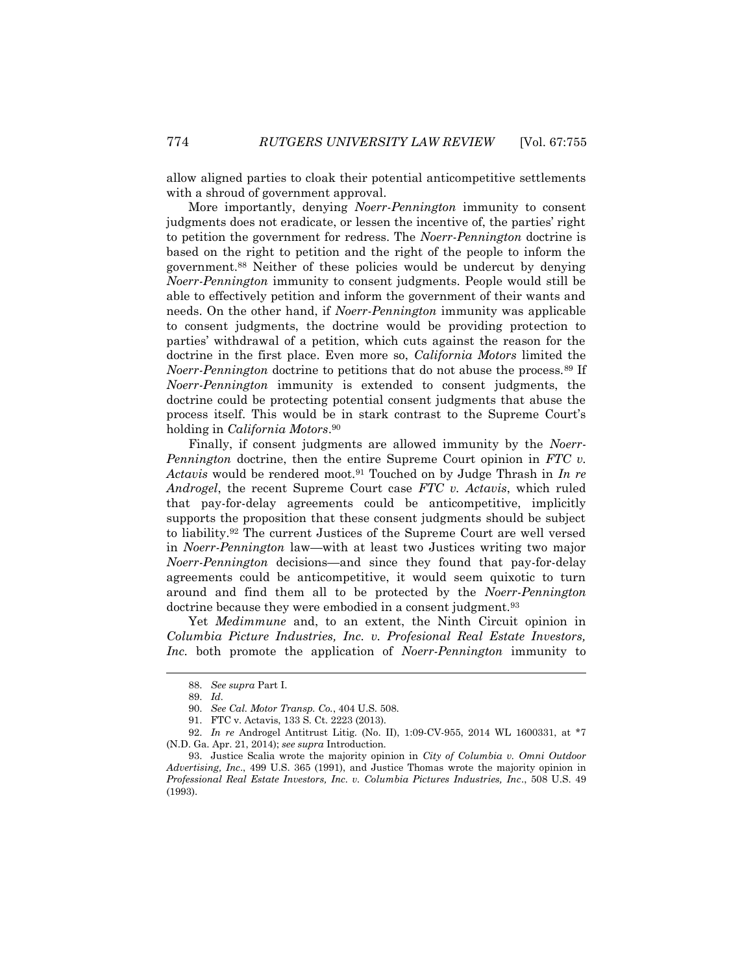allow aligned parties to cloak their potential anticompetitive settlements with a shroud of government approval.

More importantly, denying *Noerr-Pennington* immunity to consent judgments does not eradicate, or lessen the incentive of, the parties' right to petition the government for redress. The *Noerr-Pennington* doctrine is based on the right to petition and the right of the people to inform the government.<sup>88</sup> Neither of these policies would be undercut by denying *Noerr-Pennington* immunity to consent judgments. People would still be able to effectively petition and inform the government of their wants and needs. On the other hand, if *Noerr-Pennington* immunity was applicable to consent judgments, the doctrine would be providing protection to parties' withdrawal of a petition, which cuts against the reason for the doctrine in the first place. Even more so, *California Motors* limited the *Noerr-Pennington* doctrine to petitions that do not abuse the process.<sup>89</sup> If *Noerr-Pennington* immunity is extended to consent judgments, the doctrine could be protecting potential consent judgments that abuse the process itself. This would be in stark contrast to the Supreme Court's holding in *California Motors*. 90

Finally, if consent judgments are allowed immunity by the *Noerr-Pennington* doctrine, then the entire Supreme Court opinion in *FTC v. Actavis* would be rendered moot.<sup>91</sup> Touched on by Judge Thrash in *In re Androgel*, the recent Supreme Court case *FTC v. Actavis*, which ruled that pay-for-delay agreements could be anticompetitive, implicitly supports the proposition that these consent judgments should be subject to liability.<sup>92</sup> The current Justices of the Supreme Court are well versed in *Noerr-Pennington* law—with at least two Justices writing two major *Noerr-Pennington* decisions—and since they found that pay-for-delay agreements could be anticompetitive, it would seem quixotic to turn around and find them all to be protected by the *Noerr-Pennington* doctrine because they were embodied in a consent judgment.<sup>93</sup>

Yet *Medimmune* and, to an extent, the Ninth Circuit opinion in *Columbia Picture Industries, Inc. v. Profesional Real Estate Investors, Inc.* both promote the application of *Noerr-Pennington* immunity to

<sup>88.</sup> *See supra* Part I.

<sup>89.</sup> *Id.*

<sup>90.</sup> *See Cal. Motor Transp. Co.*, 404 U.S. 508.

<sup>91.</sup> FTC v. Actavis, 133 S. Ct. 2223 (2013).

<sup>92.</sup> *In re* Androgel Antitrust Litig. (No. II), 1:09-CV-955, 2014 WL 1600331, at \*7 (N.D. Ga. Apr. 21, 2014); *see supra* Introduction.

<sup>93.</sup> Justice Scalia wrote the majority opinion in *City of Columbia v. Omni Outdoor Advertising, Inc*., 499 U.S. 365 (1991), and Justice Thomas wrote the majority opinion in *Professional Real Estate Investors, Inc. v. Columbia Pictures Industries, Inc*., 508 U.S. 49 (1993).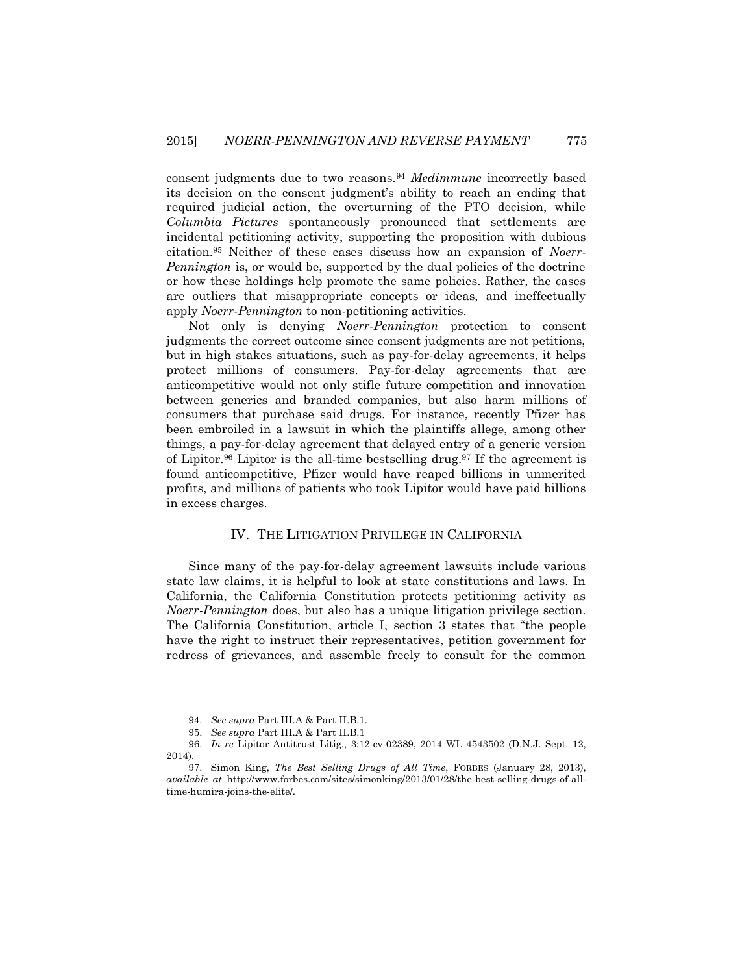consent judgments due to two reasons.<sup>94</sup> *Medimmune* incorrectly based its decision on the consent judgment's ability to reach an ending that required judicial action, the overturning of the PTO decision, while *Columbia Pictures* spontaneously pronounced that settlements are incidental petitioning activity, supporting the proposition with dubious citation.<sup>95</sup> Neither of these cases discuss how an expansion of *Noerr-Pennington* is, or would be, supported by the dual policies of the doctrine or how these holdings help promote the same policies. Rather, the cases are outliers that misappropriate concepts or ideas, and ineffectually apply *Noerr-Pennington* to non-petitioning activities.

Not only is denying *Noerr-Pennington* protection to consent judgments the correct outcome since consent judgments are not petitions, but in high stakes situations, such as pay-for-delay agreements, it helps protect millions of consumers. Pay-for-delay agreements that are anticompetitive would not only stifle future competition and innovation between generics and branded companies, but also harm millions of consumers that purchase said drugs. For instance, recently Pfizer has been embroiled in a lawsuit in which the plaintiffs allege, among other things, a pay-for-delay agreement that delayed entry of a generic version of Lipitor.<sup>96</sup> Lipitor is the all-time bestselling drug.<sup>97</sup> If the agreement is found anticompetitive, Pfizer would have reaped billions in unmerited profits, and millions of patients who took Lipitor would have paid billions in excess charges.

#### IV. THE LITIGATION PRIVILEGE IN CALIFORNIA

Since many of the pay-for-delay agreement lawsuits include various state law claims, it is helpful to look at state constitutions and laws. In California, the California Constitution protects petitioning activity as *Noerr-Pennington* does, but also has a unique litigation privilege section. The California Constitution, article I, section 3 states that "the people have the right to instruct their representatives, petition government for redress of grievances, and assemble freely to consult for the common

l

<sup>94.</sup> *See supra* Part III.A & Part II.B.1.

<sup>95.</sup> *See supra* Part III.A & Part II.B.1

<sup>96.</sup> *In re* Lipitor Antitrust Litig., 3:12-cv-02389, 2014 WL 4543502 (D.N.J. Sept. 12, 2014).

<sup>97.</sup> Simon King, *The Best Selling Drugs of All Time*, FORBES (January 28, 2013), *available at* http://www.forbes.com/sites/simonking/2013/01/28/the-best-selling-drugs-of-alltime-humira-joins-the-elite/.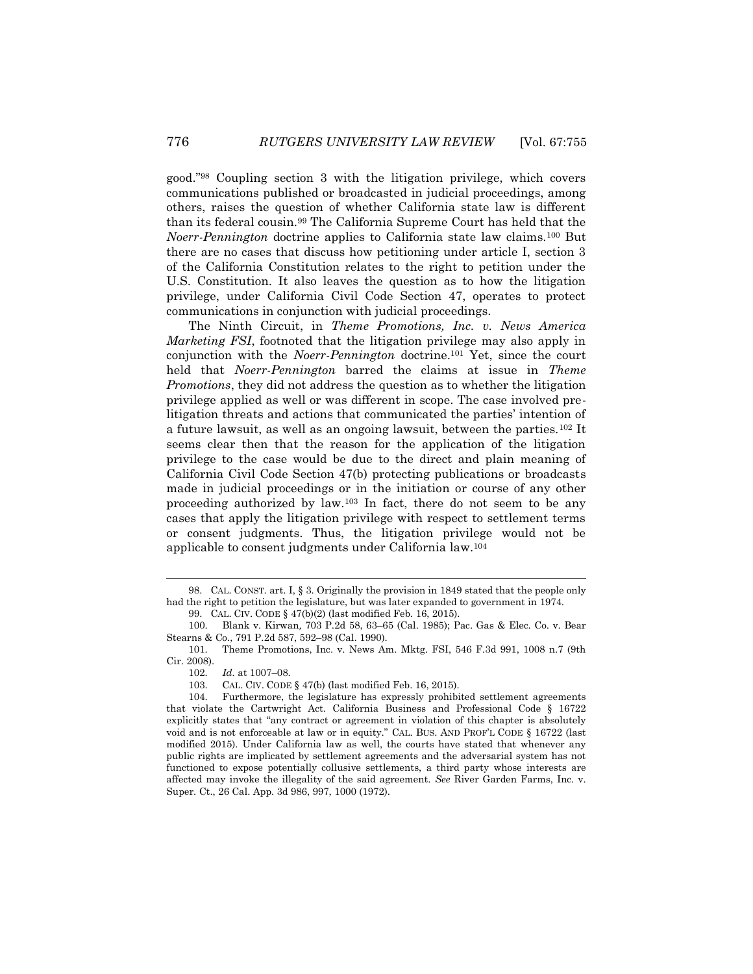good."<sup>98</sup> Coupling section 3 with the litigation privilege, which covers communications published or broadcasted in judicial proceedings, among others, raises the question of whether California state law is different than its federal cousin.<sup>99</sup> The California Supreme Court has held that the *Noerr-Pennington* doctrine applies to California state law claims.<sup>100</sup> But there are no cases that discuss how petitioning under article I, section 3 of the California Constitution relates to the right to petition under the U.S. Constitution. It also leaves the question as to how the litigation privilege, under California Civil Code Section 47, operates to protect communications in conjunction with judicial proceedings.

The Ninth Circuit, in *Theme Promotions, Inc. v. News America Marketing FSI*, footnoted that the litigation privilege may also apply in conjunction with the *Noerr-Pennington* doctrine.<sup>101</sup> Yet, since the court held that *Noerr-Pennington* barred the claims at issue in *Theme Promotions*, they did not address the question as to whether the litigation privilege applied as well or was different in scope. The case involved prelitigation threats and actions that communicated the parties' intention of a future lawsuit, as well as an ongoing lawsuit, between the parties.<sup>102</sup> It seems clear then that the reason for the application of the litigation privilege to the case would be due to the direct and plain meaning of California Civil Code Section 47(b) protecting publications or broadcasts made in judicial proceedings or in the initiation or course of any other proceeding authorized by law.<sup>103</sup> In fact, there do not seem to be any cases that apply the litigation privilege with respect to settlement terms or consent judgments. Thus, the litigation privilege would not be applicable to consent judgments under California law.<sup>104</sup>

l

<sup>98.</sup> CAL. CONST. art. I, § 3. Originally the provision in 1849 stated that the people only had the right to petition the legislature, but was later expanded to government in 1974. 99. CAL. CIV. CODE § 47(b)(2) (last modified Feb. 16, 2015).

<sup>100.</sup> Blank v. Kirwan*,* 703 P.2d 58, 63–65 (Cal. 1985); Pac. Gas & Elec. Co. v. Bear Stearns & Co., 791 P.2d 587, 592–98 (Cal. 1990).

<sup>101.</sup> Theme Promotions, Inc. v. News Am. Mktg. FSI, 546 F.3d 991, 1008 n.7 (9th Cir. 2008).

<sup>102.</sup> *Id.* at 1007–08.

<sup>103.</sup> CAL. CIV. CODE § 47(b) (last modified Feb. 16, 2015).

<sup>104.</sup> Furthermore, the legislature has expressly prohibited settlement agreements that violate the Cartwright Act. California Business and Professional Code § 16722 explicitly states that "any contract or agreement in violation of this chapter is absolutely void and is not enforceable at law or in equity." CAL. BUS. AND PROF'L CODE § 16722 (last modified 2015). Under California law as well, the courts have stated that whenever any public rights are implicated by settlement agreements and the adversarial system has not functioned to expose potentially collusive settlements, a third party whose interests are affected may invoke the illegality of the said agreement. *See* River Garden Farms, Inc. v. Super. Ct., 26 Cal. App. 3d 986, 997, 1000 (1972).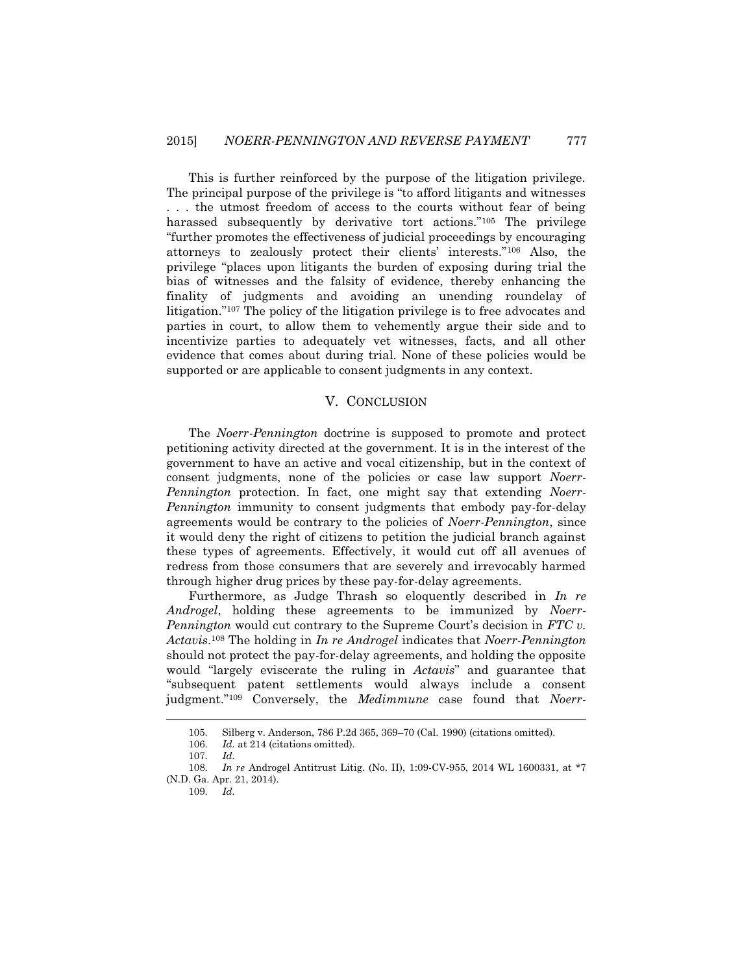This is further reinforced by the purpose of the litigation privilege. The principal purpose of the privilege is "to afford litigants and witnesses . . . the utmost freedom of access to the courts without fear of being harassed subsequently by derivative tort actions."<sup>105</sup> The privilege "further promotes the effectiveness of judicial proceedings by encouraging attorneys to zealously protect their clients' interests."<sup>106</sup> Also, the privilege "places upon litigants the burden of exposing during trial the bias of witnesses and the falsity of evidence, thereby enhancing the finality of judgments and avoiding an unending roundelay of litigation."<sup>107</sup> The policy of the litigation privilege is to free advocates and parties in court, to allow them to vehemently argue their side and to incentivize parties to adequately vet witnesses, facts, and all other evidence that comes about during trial. None of these policies would be supported or are applicable to consent judgments in any context.

#### V. CONCLUSION

The *Noerr-Pennington* doctrine is supposed to promote and protect petitioning activity directed at the government. It is in the interest of the government to have an active and vocal citizenship, but in the context of consent judgments, none of the policies or case law support *Noerr-Pennington* protection. In fact, one might say that extending *Noerr-Pennington* immunity to consent judgments that embody pay-for-delay agreements would be contrary to the policies of *Noerr-Pennington*, since it would deny the right of citizens to petition the judicial branch against these types of agreements. Effectively, it would cut off all avenues of redress from those consumers that are severely and irrevocably harmed through higher drug prices by these pay-for-delay agreements.

Furthermore, as Judge Thrash so eloquently described in *In re Androgel*, holding these agreements to be immunized by *Noerr-Pennington* would cut contrary to the Supreme Court's decision in *FTC v. Actavis*. <sup>108</sup> The holding in *In re Androgel* indicates that *Noerr-Pennington*  should not protect the pay-for-delay agreements, and holding the opposite would "largely eviscerate the ruling in *Actavis*" and guarantee that "subsequent patent settlements would always include a consent judgment."<sup>109</sup> Conversely, the *Medimmune* case found that *Noerr-*

<sup>105.</sup> Silberg v. Anderson, 786 P.2d 365, 369–70 (Cal. 1990) (citations omitted).

<sup>106.</sup> *Id.* at 214 (citations omitted).

<sup>107.</sup> *Id.*

<sup>108.</sup> *In re* Androgel Antitrust Litig. (No. II), 1:09-CV-955, 2014 WL 1600331, at \*7 (N.D. Ga. Apr. 21, 2014).

<sup>109.</sup> *Id.*